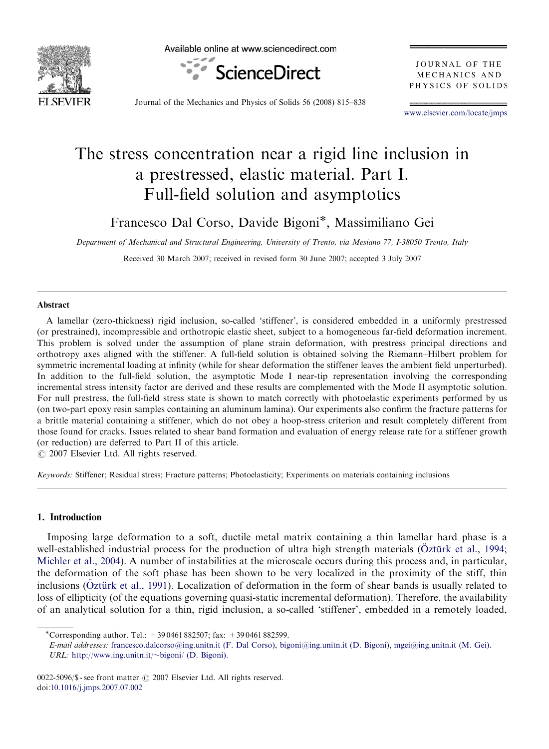

Available online at www.sciencedirect.com



**JOURNAL OF THE** MECHANICS AND PHYSICS OF SOLIDS

Journal of the Mechanics and Physics of Solids 56 (2008) 815–838

<www.elsevier.com/locate/jmps>

# The stress concentration near a rigid line inclusion in a prestressed, elastic material. Part I. Full-field solution and asymptotics

Francesco Dal Corso, Davide Bigoni\*, Massimiliano Gei

Department of Mechanical and Structural Engineering, University of Trento, via Mesiano 77, I-38050 Trento, Italy

Received 30 March 2007; received in revised form 30 June 2007; accepted 3 July 2007

#### Abstract

A lamellar (zero-thickness) rigid inclusion, so-called 'stiffener', is considered embedded in a uniformly prestressed (or prestrained), incompressible and orthotropic elastic sheet, subject to a homogeneous far-field deformation increment. This problem is solved under the assumption of plane strain deformation, with prestress principal directions and orthotropy axes aligned with the stiffener. A full-field solution is obtained solving the Riemann–Hilbert problem for symmetric incremental loading at infinity (while for shear deformation the stiffener leaves the ambient field unperturbed). In addition to the full-field solution, the asymptotic Mode I near-tip representation involving the corresponding incremental stress intensity factor are derived and these results are complemented with the Mode II asymptotic solution. For null prestress, the full-field stress state is shown to match correctly with photoelastic experiments performed by us (on two-part epoxy resin samples containing an aluminum lamina). Our experiments also confirm the fracture patterns for a brittle material containing a stiffener, which do not obey a hoop-stress criterion and result completely different from those found for cracks. Issues related to shear band formation and evaluation of energy release rate for a stiffener growth (or reduction) are deferred to Part II of this article.

 $O$  2007 Elsevier Ltd. All rights reserved.

Keywords: Stiffener; Residual stress; Fracture patterns; Photoelasticity; Experiments on materials containing inclusions

## 1. Introduction

Imposing large deformation to a soft, ductile metal matrix containing a thin lamellar hard phase is a well-established industrial process for the production of ultra high strength materials (Öztürk et al., 1994; [Michler et al., 2004\)](#page-23-0). A number of instabilities at the microscale occurs during this process and, in particular, the deformation of the soft phase has been shown to be very localized in the proximity of the stiff, thin inclusions (Öztürk et al., 1991). Localization of deformation in the form of shear bands is usually related to loss of ellipticity (of the equations governing quasi-static incremental deformation). Therefore, the availability of an analytical solution for a thin, rigid inclusion, a so-called 'stiffener', embedded in a remotely loaded,

<sup>-</sup>Corresponding author. Tel.: +39 0461 882507; fax: +39 0461 882599.

E-mail addresses: [francesco.dalcorso@ing.unitn.it \(F. Dal Corso\),](mailto:francesco.dalcorso@ing.unitn.it) [bigoni@ing.unitn.it \(D. Bigoni\)](mailto:bigoni@ing.unitn.it), [mgei@ing.unitn.it \(M. Gei\)](mailto:mgei@ing.unitn.it). URL: [http://www.ing.unitn.it/](http://www.ing.unitn.it/∼bigoni/) $\sim$ [bigoni/ \(D. Bigoni\).](http://www.ing.unitn.it/∼bigoni/)

<sup>0022-5096/\$ -</sup> see front matter  $\odot$  2007 Elsevier Ltd. All rights reserved. doi:[10.1016/j.jmps.2007.07.002](dx.doi.org/10.1016/j.jmps.2007.07.002)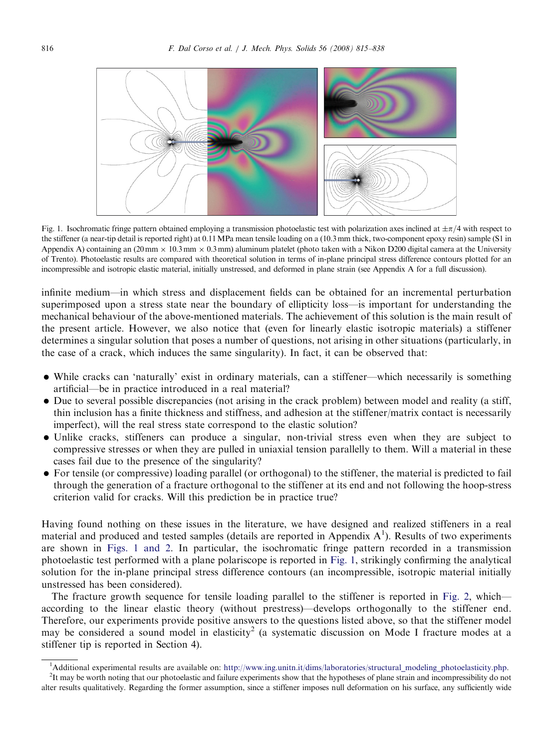<span id="page-1-0"></span>

Fig. 1. Isochromatic fringe pattern obtained employing a transmission photoelastic test with polarization axes inclined at  $\pm \pi/4$  with respect to the stiffener (a near-tip detail is reported right) at 0.11MPa mean tensile loading on a (10.3 mm thick, two-component epoxy resin) sample (S1 in Appendix A) containing an (20 mm  $\times$  10.3 mm  $\times$  0.3 mm) aluminum platelet (photo taken with a Nikon D200 digital camera at the University of Trento). Photoelastic results are compared with theoretical solution in terms of in-plane principal stress difference contours plotted for an incompressible and isotropic elastic material, initially unstressed, and deformed in plane strain (see Appendix A for a full discussion).

infinite medium—in which stress and displacement fields can be obtained for an incremental perturbation superimposed upon a stress state near the boundary of ellipticity loss—is important for understanding the mechanical behaviour of the above-mentioned materials. The achievement of this solution is the main result of the present article. However, we also notice that (even for linearly elastic isotropic materials) a stiffener determines a singular solution that poses a number of questions, not arising in other situations (particularly, in the case of a crack, which induces the same singularity). In fact, it can be observed that:

- While cracks can 'naturally' exist in ordinary materials, can a stiffener—which necessarily is something artificial—be in practice introduced in a real material?
- Due to several possible discrepancies (not arising in the crack problem) between model and reality (a stiff, thin inclusion has a finite thickness and stiffness, and adhesion at the stiffener/matrix contact is necessarily imperfect), will the real stress state correspond to the elastic solution?
- Unlike cracks, stiffeners can produce a singular, non-trivial stress even when they are subject to compressive stresses or when they are pulled in uniaxial tension parallelly to them. Will a material in these cases fail due to the presence of the singularity?
- For tensile (or compressive) loading parallel (or orthogonal) to the stiffener, the material is predicted to fail through the generation of a fracture orthogonal to the stiffener at its end and not following the hoop-stress criterion valid for cracks. Will this prediction be in practice true?

Having found nothing on these issues in the literature, we have designed and realized stiffeners in a real material and produced and tested samples (details are reported in Appendix  $A<sup>1</sup>$ ). Results of two experiments are shown in Figs. 1 and 2. In particular, the isochromatic fringe pattern recorded in a transmission photoelastic test performed with a plane polariscope is reported in Fig. 1, strikingly confirming the analytical solution for the in-plane principal stress difference contours (an incompressible, isotropic material initially unstressed has been considered).

The fracture growth sequence for tensile loading parallel to the stiffener is reported in [Fig. 2](#page-2-0), which according to the linear elastic theory (without prestress)—develops orthogonally to the stiffener end. Therefore, our experiments provide positive answers to the questions listed above, so that the stiffener model may be considered a sound model in elasticity<sup>2</sup> (a systematic discussion on Mode I fracture modes at a stiffener tip is reported in Section 4).

<sup>&</sup>lt;sup>1</sup>Additional experimental results are available on: [http://www.ing.unitn.it/dims/laboratories/structural\\_modeling\\_photoelasticity.php.](http://www.ing.unitn.it/dims/laboratories/structural_modeling_photoelasticity.php)  $^{2}$ If may be worth noting that our photoelastic and failure experiments show that t

<sup>&</sup>lt;sup>2</sup>It may be worth noting that our photoelastic and failure experiments show that the hypotheses of plane strain and incompressibility do not alter results qualitatively. Regarding the former assumption, since a stiffener imposes null deformation on his surface, any sufficiently wide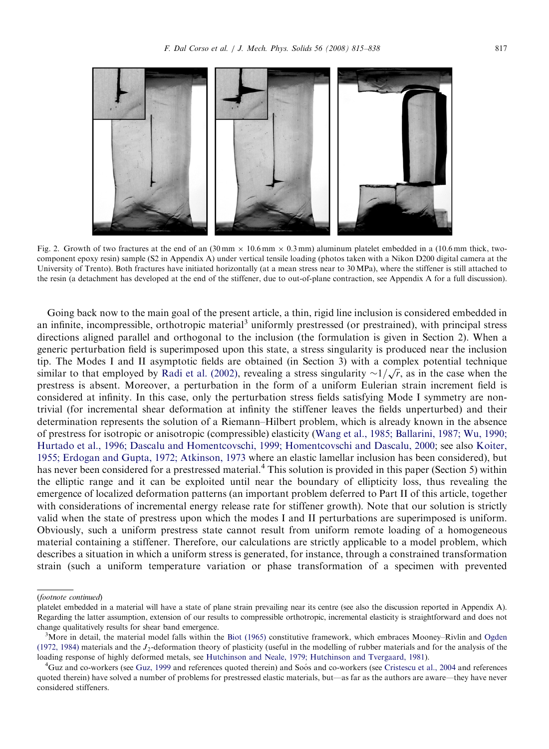<span id="page-2-0"></span>

Fig. 2. Growth of two fractures at the end of an  $(30 \text{ mm} \times 10.6 \text{ mm} \times 0.3 \text{ mm})$  aluminum platelet embedded in a  $(10.6 \text{ mm}$  thick, twocomponent epoxy resin) sample (S2 in Appendix A) under vertical tensile loading (photos taken with a Nikon D200 digital camera at the University of Trento). Both fractures have initiated horizontally (at a mean stress near to 30 MPa), where the stiffener is still attached to the resin (a detachment has developed at the end of the stiffener, due to out-of-plane contraction, see Appendix A for a full discussion).

Going back now to the main goal of the present article, a thin, rigid line inclusion is considered embedded in an infinite, incompressible, orthotropic material<sup>3</sup> uniformly prestressed (or prestrained), with principal stress directions aligned parallel and orthogonal to the inclusion (the formulation is given in Section 2). When a generic perturbation field is superimposed upon this state, a stress singularity is produced near the inclusion tip. The Modes I and II asymptotic fields are obtained (in Section 3) with a complex potential technique up. The modes T and IT asymptotic helds are obtained (in section 3) with a complex potential technique similar to that employed by [Radi et al. \(2002\),](#page-23-0) revealing a stress singularity  $\sim 1/\sqrt{r}$ , as in the case when the prestress is absent. Moreover, a perturbation in the form of a uniform Eulerian strain increment field is considered at infinity. In this case, only the perturbation stress fields satisfying Mode I symmetry are nontrivial (for incremental shear deformation at infinity the stiffener leaves the fields unperturbed) and their determination represents the solution of a Riemann–Hilbert problem, which is already known in the absence of prestress for isotropic or anisotropic (compressible) elasticity ([Wang et al., 1985; Ballarini, 1987; Wu, 1990;](#page-23-0) [Hurtado et al., 1996; Dascalu and Homentcovschi, 1999; Homentcovschi and Dascalu, 2000](#page-23-0); see also [Koiter,](#page-23-0) [1955; Erdogan and Gupta, 1972; Atkinson, 1973](#page-23-0) where an elastic lamellar inclusion has been considered), but has never been considered for a prestressed material.<sup>4</sup> This solution is provided in this paper (Section 5) within the elliptic range and it can be exploited until near the boundary of ellipticity loss, thus revealing the emergence of localized deformation patterns (an important problem deferred to Part II of this article, together with considerations of incremental energy release rate for stiffener growth). Note that our solution is strictly valid when the state of prestress upon which the modes I and II perturbations are superimposed is uniform. Obviously, such a uniform prestress state cannot result from uniform remote loading of a homogeneous material containing a stiffener. Therefore, our calculations are strictly applicable to a model problem, which describes a situation in which a uniform stress is generated, for instance, through a constrained transformation strain (such a uniform temperature variation or phase transformation of a specimen with prevented

<sup>(</sup>footnote continued)

platelet embedded in a material will have a state of plane strain prevailing near its centre (see also the discussion reported in Appendix A). Regarding the latter assumption, extension of our results to compressible orthotropic, incremental elasticity is straightforward and does not change qualitatively results for shear band emergence.

<sup>&</sup>lt;sup>3</sup>More in detail, the material model falls within the [Biot \(1965\)](#page-23-0) constitutive framework, which embraces Mooney–Rivlin and [Ogden](#page-23-0) [\(1972, 1984\)](#page-23-0) materials and the  $J_2$ -deformation theory of plasticity (useful in the modelling of rubber materials and for the analysis of the loading response of highly deformed metals, see [Hutchinson and Neale, 1979; Hutchinson and Tvergaard, 1981](#page-23-0)).

<sup>&</sup>lt;sup>4</sup>Guz and co-workers (see [Guz, 1999](#page-23-0) and references quoted therein) and Soós and co-workers (see [Cristescu et al., 2004](#page-23-0) and references quoted therein) have solved a number of problems for prestressed elastic materials, but—as far as the authors are aware—they have never considered stiffeners.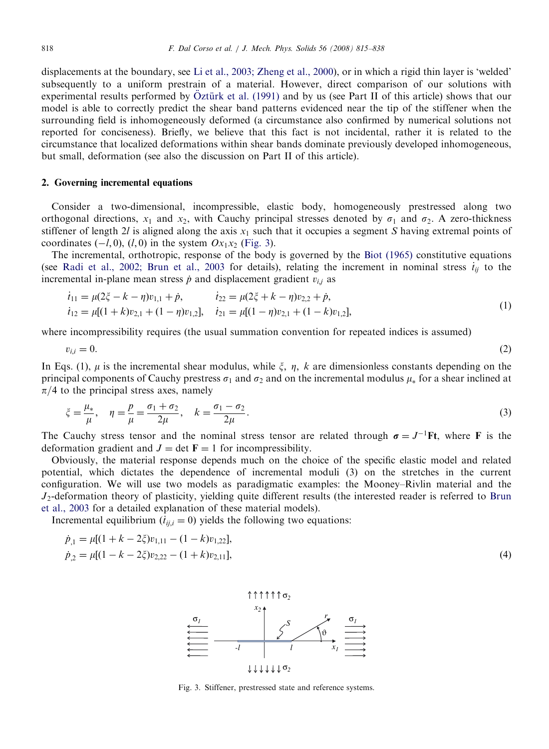<span id="page-3-0"></span>displacements at the boundary, see [Li et al., 2003; Zheng et al., 2000\)](#page-23-0), or in which a rigid thin layer is 'welded' subsequently to a uniform prestrain of a material. However, direct comparison of our solutions with experimental results performed by Öztürk et al. (1991) and by us (see Part II of this article) shows that our model is able to correctly predict the shear band patterns evidenced near the tip of the stiffener when the surrounding field is inhomogeneously deformed (a circumstance also confirmed by numerical solutions not reported for conciseness). Briefly, we believe that this fact is not incidental, rather it is related to the circumstance that localized deformations within shear bands dominate previously developed inhomogeneous, but small, deformation (see also the discussion on Part II of this article).

## 2. Governing incremental equations

Consider a two-dimensional, incompressible, elastic body, homogeneously prestressed along two orthogonal directions,  $x_1$  and  $x_2$ , with Cauchy principal stresses denoted by  $\sigma_1$  and  $\sigma_2$ . A zero-thickness stiffener of length 2l is aligned along the axis  $x_1$  such that it occupies a segment S having extremal points of coordinates  $(-l, 0)$ ,  $(l, 0)$  in the system  $Ox_1x_2$  (Fig. 3).

The incremental, orthotropic, response of the body is governed by the [Biot \(1965\)](#page-23-0) constitutive equations (see [Radi et al., 2002; Brun et al., 2003](#page-23-0) for details), relating the increment in nominal stress  $i_{ij}$  to the incremental in-plane mean stress  $\dot{p}$  and displacement gradient  $v_{i,j}$  as

$$
\begin{aligned}\n\dot{t}_{11} &= \mu(2\xi - k - \eta)v_{1,1} + \dot{p}, & \dot{t}_{22} &= \mu(2\xi + k - \eta)v_{2,2} + \dot{p}, \\
\dot{t}_{12} &= \mu[(1 + k)v_{2,1} + (1 - \eta)v_{1,2}], & \dot{t}_{21} &= \mu[(1 - \eta)v_{2,1} + (1 - k)v_{1,2}],\n\end{aligned} \tag{1}
$$

where incompressibility requires (the usual summation convention for repeated indices is assumed)

$$
v_{i,i} = 0.\tag{2}
$$

In Eqs. (1),  $\mu$  is the incremental shear modulus, while  $\xi$ ,  $\eta$ ,  $k$  are dimensionless constants depending on the principal components of Cauchy prestress  $\sigma_1$  and  $\sigma_2$  and on the incremental modulus  $\mu_*$  for a shear inclined at  $\pi/4$  to the principal stress axes, namely

$$
\xi = \frac{\mu_*}{\mu}, \quad \eta = \frac{p}{\mu} = \frac{\sigma_1 + \sigma_2}{2\mu}, \quad k = \frac{\sigma_1 - \sigma_2}{2\mu}.
$$
\n(3)

The Cauchy stress tensor and the nominal stress tensor are related through  $\sigma = J^{-1}$ Ft, where F is the deformation gradient and  $J = \det F = 1$  for incompressibility.

Obviously, the material response depends much on the choice of the specific elastic model and related potential, which dictates the dependence of incremental moduli (3) on the stretches in the current configuration. We will use two models as paradigmatic examples: the Mooney–Rivlin material and the  $J_2$ -deformation theory of plasticity, yielding quite different results (the interested reader is referred to [Brun](#page-23-0) [et al., 2003](#page-23-0) for a detailed explanation of these material models).

Incremental equilibrium ( $i_{ij,i} = 0$ ) yields the following two equations:

$$
\dot{p}_{,1} = \mu[(1 + k - 2\xi)v_{1,11} - (1 - k)v_{1,22}], \n\dot{p}_{,2} = \mu[(1 - k - 2\xi)v_{2,22} - (1 + k)v_{2,11}],
$$
\n(4)



Fig. 3. Stiffener, prestressed state and reference systems.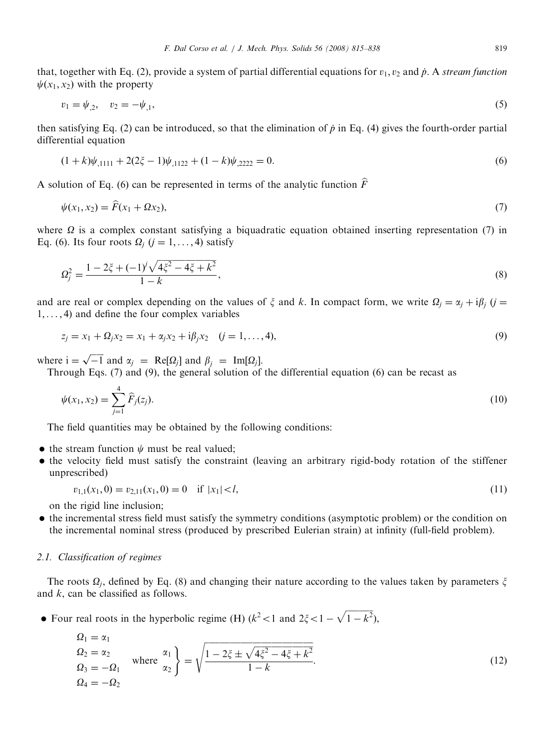that, together with Eq. (2), provide a system of partial differential equations for  $v_1, v_2$  and  $\dot{p}$ . A stream function  $\psi(x_1, x_2)$  with the property

$$
v_1 = \psi_{,2}, \quad v_2 = -\psi_{,1}, \tag{5}
$$

then satisfying Eq. (2) can be introduced, so that the elimination of  $\dot{p}$  in Eq. (4) gives the fourth-order partial differential equation

$$
(1+k)\psi_{,1111} + 2(2\xi - 1)\psi_{,1122} + (1-k)\psi_{,2222} = 0.
$$
\n<sup>(6)</sup>

A solution of Eq. (6) can be represented in terms of the analytic function  $\hat{F}$ 

$$
\psi(x_1, x_2) = \overline{F}(x_1 + \Omega x_2),\tag{7}
$$

where  $\Omega$  is a complex constant satisfying a biquadratic equation obtained inserting representation (7) in Eq. (6). Its four roots  $\Omega_i$  ( $j = 1, \ldots, 4$ ) satisfy

$$
\Omega_j^2 = \frac{1 - 2\xi + (-1)^j \sqrt{4\xi^2 - 4\xi + k^2}}{1 - k},\tag{8}
$$

and are real or complex depending on the values of  $\xi$  and k. In compact form, we write  $\Omega_i = \alpha_i + i\beta_i$   $(i =$  $1, \ldots, 4$  and define the four complex variables

$$
z_j = x_1 + \Omega_j x_2 = x_1 + \alpha_j x_2 + i\beta_j x_2 \quad (j = 1, ..., 4),
$$
\n(9)

where  $i = \sqrt{-1}$  and  $\alpha_j = \text{Re}[\Omega_j]$  and  $\beta_j = \text{Im}[\Omega_j]$ .

Through Eqs. (7) and (9), the general solution of the differential equation (6) can be recast as

$$
\psi(x_1, x_2) = \sum_{j=1}^{4} \widehat{F}_j(z_j). \tag{10}
$$

The field quantities may be obtained by the following conditions:

- the stream function  $\psi$  must be real valued;
- the velocity field must satisfy the constraint (leaving an arbitrary rigid-body rotation of the stiffener unprescribed)

$$
v_{1,1}(x_1,0) = v_{2,11}(x_1,0) = 0 \quad \text{if } |x_1| < l,\tag{11}
$$

on the rigid line inclusion;

• the incremental stress field must satisfy the symmetry conditions (asymptotic problem) or the condition on the incremental nominal stress (produced by prescribed Eulerian strain) at infinity (full-field problem).

## 2.1. Classification of regimes

The roots  $\Omega_j$ , defined by Eq. (8) and changing their nature according to the values taken by parameters  $\xi$ and k, can be classified as follows.

• Four real roots in the hyperbolic regime (H)  $(k^2 < 1$  and  $2\xi < 1 \sqrt{1-k^2}$ 

$$
\Omega_1 = \alpha_1
$$
\n
$$
\Omega_2 = \alpha_2
$$
\n
$$
\Omega_3 = -\Omega_1 \quad \text{where} \quad \alpha_1
$$
\n
$$
\Omega_4 = -\Omega_2 \quad (12)
$$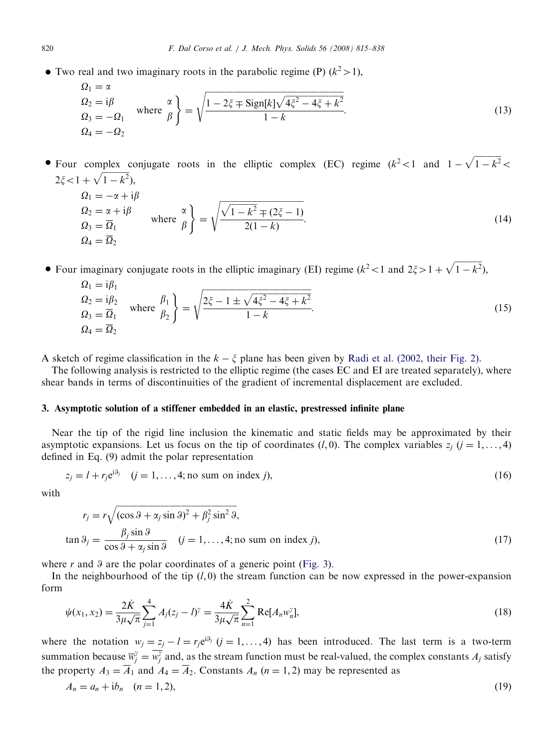• Two real and two imaginary roots in the parabolic regime (P)  $(k^2 > 1)$ ,

$$
\Omega_1 = \alpha
$$
\n
$$
\Omega_2 = i\beta
$$
\n
$$
\Omega_3 = -\Omega_1 \quad \text{where} \quad \beta \left\} = \sqrt{\frac{1 - 2\xi + \text{Sign}[k]\sqrt{4\xi^2 - 4\xi + k^2}}{1 - k}}.
$$
\n
$$
\Omega_4 = -\Omega_2 \tag{13}
$$

• Four complex conjugate roots in the elliptic complex (EC) regime  $(k^2 < 1$  and 1  $\sqrt{1 - k^2}$  $2\xi < 1 +$  $\sqrt{1-k^2}$ ),

$$
\Omega_1 = -\alpha + i\beta
$$
\n
$$
\Omega_2 = \alpha + i\beta
$$
\n
$$
\Omega_3 = \overline{\Omega}_1
$$
\nwhere\n
$$
\beta = \sqrt{\frac{\sqrt{1 - k^2} \mp (2\xi - 1)}{2(1 - k)}}.
$$
\n
$$
\Omega_4 = \overline{\Omega}_2
$$
\n(14)

• Four imaginary conjugate roots in the elliptic imaginary (EI) regime ( $k^2$  < 1 and  $2\xi$  > 1 +  $\sqrt{1-k^2}$ ),

$$
\Omega_1 = i\beta_1
$$
\n
$$
\Omega_2 = i\beta_2
$$
\n
$$
\Omega_3 = \overline{\Omega}_1
$$
\nwhere\n
$$
\beta_2 = \sqrt{\frac{2\xi - 1 \pm \sqrt{4\xi^2 - 4\xi + k^2}}{1 - k}}.
$$
\n
$$
\Omega_4 = \overline{\Omega}_2
$$
\n(15)

A sketch of regime classification in the  $k - \xi$  plane has been given by [Radi et al. \(2002, their Fig. 2\)](#page-23-0).

The following analysis is restricted to the elliptic regime (the cases EC and EI are treated separately), where shear bands in terms of discontinuities of the gradient of incremental displacement are excluded.

## 3. Asymptotic solution of a stiffener embedded in an elastic, prestressed infinite plane

Near the tip of the rigid line inclusion the kinematic and static fields may be approximated by their asymptotic expansions. Let us focus on the tip of coordinates  $(l, 0)$ . The complex variables  $z_i$   $(j = 1, \ldots, 4)$ defined in Eq. (9) admit the polar representation

$$
z_j = l + r_j e^{i\theta_j} \quad (j = 1, ..., 4; \text{no sum on index } j), \tag{16}
$$

with

$$
r_j = r \sqrt{(\cos \theta + \alpha_j \sin \theta)^2 + \beta_j^2 \sin^2 \theta},
$$
  
\n
$$
\tan \theta_j = \frac{\beta_j \sin \theta}{\cos \theta + \alpha_j \sin \theta} \quad (j = 1, ..., 4; \text{no sum on index } j),
$$
\n(17)

where  $r$  and  $\theta$  are the polar coordinates of a generic point ([Fig. 3](#page-3-0)).

In the neighbourhood of the tip  $(l, 0)$  the stream function can be now expressed in the power-expansion form

$$
\psi(x_1, x_2) = \frac{2\dot{K}}{3\mu\sqrt{\pi}} \sum_{j=1}^4 A_j (z_j - l)^{\gamma} = \frac{4\dot{K}}{3\mu\sqrt{\pi}} \sum_{n=1}^2 \text{Re}[A_n w_n^{\gamma}], \tag{18}
$$

where the notation  $w_j = z_j - l = r_j e^{i\theta_j}$   $(j = 1, ..., 4)$  has been introduced. The last term is a two-term summation because  $\overline{w_j^v} = \overline{w_j^v}$  and, as the stream function must be real-valued, the complex constants  $A_j$  satisfy the property  $A_3 = \overline{A_1}$  and  $A_4 = \overline{A_2}$ . Constants  $A_n$   $(n = 1, 2)$  may be represented as

$$
A_n = a_n + ib_n \quad (n = 1, 2), \tag{19}
$$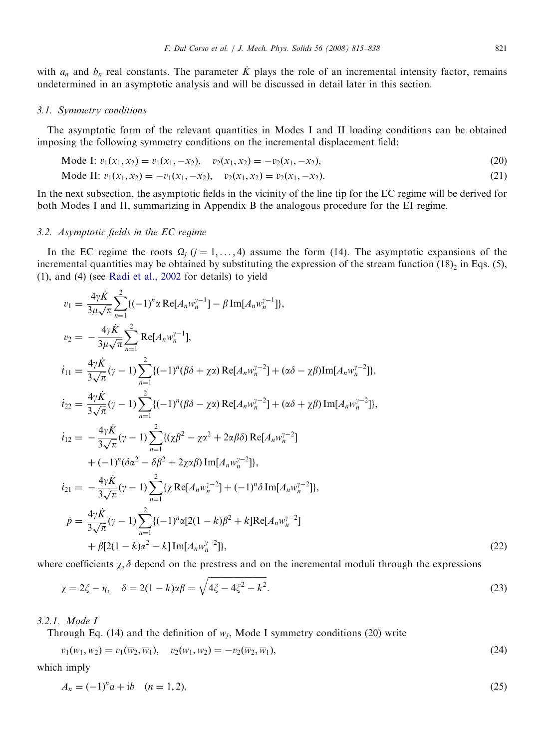with  $a_n$  and  $b_n$  real constants. The parameter  $\dot{K}$  plays the role of an incremental intensity factor, remains undetermined in an asymptotic analysis and will be discussed in detail later in this section.

#### 3.1. Symmetry conditions

The asymptotic form of the relevant quantities in Modes I and II loading conditions can be obtained imposing the following symmetry conditions on the incremental displacement field:

$$
\text{Mode I: } v_1(x_1, x_2) = v_1(x_1, -x_2), \quad v_2(x_1, x_2) = -v_2(x_1, -x_2),\tag{20}
$$

$$
\text{Mode II: } v_1(x_1, x_2) = -v_1(x_1, -x_2), \quad v_2(x_1, x_2) = v_2(x_1, -x_2). \tag{21}
$$

In the next subsection, the asymptotic fields in the vicinity of the line tip for the EC regime will be derived for both Modes I and II, summarizing in Appendix B the analogous procedure for the EI regime.

## 3.2. Asymptotic fields in the EC regime

In the EC regime the roots  $\Omega_j$   $(j = 1, ..., 4)$  assume the form (14). The asymptotic expansions of the incremental quantities may be obtained by substituting the expression of the stream function  $(18)$ , in Eqs. (5), (1), and (4) (see [Radi et al., 2002](#page-23-0) for details) to yield

$$
v_1 = \frac{4\gamma \dot{K}}{3\mu\sqrt{\pi}} \sum_{n=1}^{2} \{(-1)^n \alpha \operatorname{Re}[A_n w_n^{\gamma-1}] - \beta \operatorname{Im}[A_n w_n^{\gamma-1}]\},
$$
  
\n
$$
v_2 = -\frac{4\gamma \dot{K}}{3\mu\sqrt{\pi}} \sum_{n=1}^{2} \operatorname{Re}[A_n w_n^{\gamma-1}],
$$
  
\n
$$
\dot{t}_{11} = \frac{4\gamma \dot{K}}{3\sqrt{\pi}} (\gamma - 1) \sum_{n=1}^{2} \{(-1)^n (\beta \delta + \chi \alpha) \operatorname{Re}[A_n w_n^{\gamma-2}] + (\alpha \delta - \chi \beta) \operatorname{Im}[A_n w_n^{\gamma-2}]\},
$$
  
\n
$$
\dot{t}_{22} = \frac{4\gamma \dot{K}}{3\sqrt{\pi}} (\gamma - 1) \sum_{n=1}^{2} \{(-1)^n (\beta \delta - \chi \alpha) \operatorname{Re}[A_n w_n^{\gamma-2}] + (\alpha \delta + \chi \beta) \operatorname{Im}[A_n w_n^{\gamma-2}]\},
$$
  
\n
$$
\dot{t}_{12} = -\frac{4\gamma \dot{K}}{3\sqrt{\pi}} (\gamma - 1) \sum_{n=1}^{2} \{(\chi \beta^2 - \chi \alpha^2 + 2\alpha \beta \delta) \operatorname{Re}[A_n w_n^{\gamma-2}] + (-1)^n (\delta \alpha^2 - \delta \beta^2 + 2\chi \alpha \beta) \operatorname{Im}[A_n w_n^{\gamma-2}]\},
$$
  
\n
$$
\dot{t}_{21} = -\frac{4\gamma \dot{K}}{3\sqrt{\pi}} (\gamma - 1) \sum_{n=1}^{2} \{ \chi \operatorname{Re}[A_n w_n^{\gamma-2}] + (-1)^n \delta \operatorname{Im}[A_n w_n^{\gamma-2}]\},
$$
  
\n
$$
\dot{p} = \frac{4\gamma \dot{K}}{3\sqrt{\pi}} (\gamma - 1) \sum_{n=1}^{2} \{(-1)^n \alpha [2(1 - k)\beta^2 + k] \operatorname{Re}[A_n w_n^{\gamma-2}] + \beta [2(1 - k)\alpha^2 - k] \operatorname{Im}[A_n w_n^{\gamma-2}]\},
$$
  
\n
$$
+ \beta [2(1 - k)\alpha
$$

where coefficients  $\chi$ ,  $\delta$  depend on the prestress and on the incremental moduli through the expressions

$$
\chi = 2\xi - \eta, \quad \delta = 2(1 - k)\alpha\beta = \sqrt{4\xi - 4\xi^2 - k^2}.
$$
\n(23)

## 3.2.1. Mode I

Through Eq. (14) and the definition of  $w_i$ , Mode I symmetry conditions (20) write

$$
v_1(w_1, w_2) = v_1(\overline{w}_2, \overline{w}_1), \quad v_2(w_1, w_2) = -v_2(\overline{w}_2, \overline{w}_1), \tag{24}
$$

which imply

$$
A_n = (-1)^n a + ib \quad (n = 1, 2), \tag{25}
$$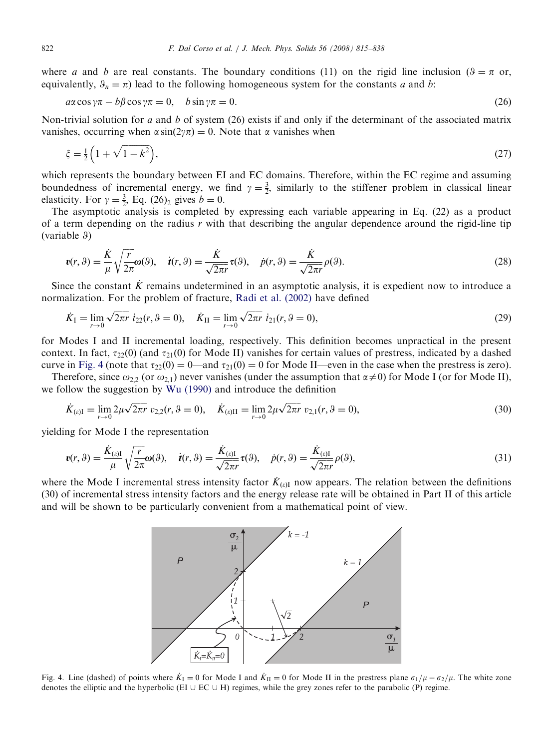where a and b are real constants. The boundary conditions (11) on the rigid line inclusion ( $\theta = \pi$  or, equivalently,  $\theta_n = \pi$ ) lead to the following homogeneous system for the constants a and b:

$$
a\alpha\cos\gamma\pi - b\beta\cos\gamma\pi = 0, \quad b\sin\gamma\pi = 0.
$$
\n(26)

Non-trivial solution for a and b of system  $(26)$  exists if and only if the determinant of the associated matrix vanishes, occurring when  $\alpha \sin(2\gamma \pi) = 0$ . Note that  $\alpha$  vanishes when

$$
\xi = \frac{1}{2} \left( 1 + \sqrt{1 - k^2} \right),\tag{27}
$$

which represents the boundary between EI and EC domains. Therefore, within the EC regime and assuming boundedness of incremental energy, we find  $\gamma = \frac{3}{2}$ , similarly to the stiffener problem in classical linear elasticity. For  $\gamma = \frac{3}{2}$ , Eq. (26)<sub>2</sub> gives  $b = 0$ .

The asymptotic analysis is completed by expressing each variable appearing in Eq. (22) as a product of a term depending on the radius  $r$  with that describing the angular dependence around the rigid-line tip  $(variable 9)$ 

$$
\mathbf{v}(r, \vartheta) = \frac{\dot{K}}{\mu} \sqrt{\frac{r}{2\pi}} \omega(\vartheta), \quad \dot{\mathbf{t}}(r, \vartheta) = \frac{\dot{K}}{\sqrt{2\pi r}} \tau(\vartheta), \quad \dot{p}(r, \vartheta) = \frac{\dot{K}}{\sqrt{2\pi r}} \rho(\vartheta). \tag{28}
$$

Since the constant K remains undetermined in an asymptotic analysis, it is expedient now to introduce a normalization. For the problem of fracture, [Radi et al. \(2002\)](#page-23-0) have defined

$$
\dot{K}_I = \lim_{r \to 0} \sqrt{2\pi r} \, i_{22}(r, \vartheta = 0), \quad \dot{K}_{II} = \lim_{r \to 0} \sqrt{2\pi r} \, i_{21}(r, \vartheta = 0), \tag{29}
$$

for Modes I and II incremental loading, respectively. This definition becomes unpractical in the present context. In fact,  $\tau_{22}(0)$  (and  $\tau_{21}(0)$  for Mode II) vanishes for certain values of prestress, indicated by a dashed curve in Fig. 4 (note that  $\tau_{22}(0) = 0$ —and  $\tau_{21}(0) = 0$  for Mode II—even in the case when the prestress is zero).

Therefore, since  $\omega_{2,2}$  (or  $\omega_{2,1}$ ) never vanishes (under the assumption that  $\alpha \neq 0$ ) for Mode I (or for Mode II), we follow the suggestion by [Wu \(1990\)](#page-23-0) and introduce the definition

$$
\dot{K}_{(\varepsilon)I} = \lim_{r \to 0} 2\mu \sqrt{2\pi r} \ v_{2,2}(r, \vartheta = 0), \quad \dot{K}_{(\varepsilon)II} = \lim_{r \to 0} 2\mu \sqrt{2\pi r} \ v_{2,1}(r, \vartheta = 0), \tag{30}
$$

yielding for Mode I the representation

$$
\mathbf{v}(r, \vartheta) = \frac{\dot{K}_{(\vartheta)}I}{\mu} \sqrt{\frac{r}{2\pi}} \boldsymbol{\omega}(\vartheta), \quad \dot{\mathbf{t}}(r, \vartheta) = \frac{\dot{K}_{(\vartheta)}I}{\sqrt{2\pi r}} \boldsymbol{\tau}(\vartheta), \quad \dot{p}(r, \vartheta) = \frac{\dot{K}_{(\vartheta)}I}{\sqrt{2\pi r}} \rho(\vartheta), \tag{31}
$$

where the Mode I incremental stress intensity factor  $\dot{K}_{(\varepsilon)}$  now appears. The relation between the definitions (30) of incremental stress intensity factors and the energy release rate will be obtained in Part II of this article and will be shown to be particularly convenient from a mathematical point of view.



Fig. 4. Line (dashed) of points where  $K_I = 0$  for Mode I and  $K_{II} = 0$  for Mode II in the prestress plane  $\sigma_1/\mu - \sigma_2/\mu$ . The white zone denotes the elliptic and the hyperbolic (EI  $\cup$  EC  $\cup$  H) regimes, while the grey zones refer to the parabolic (P) regime.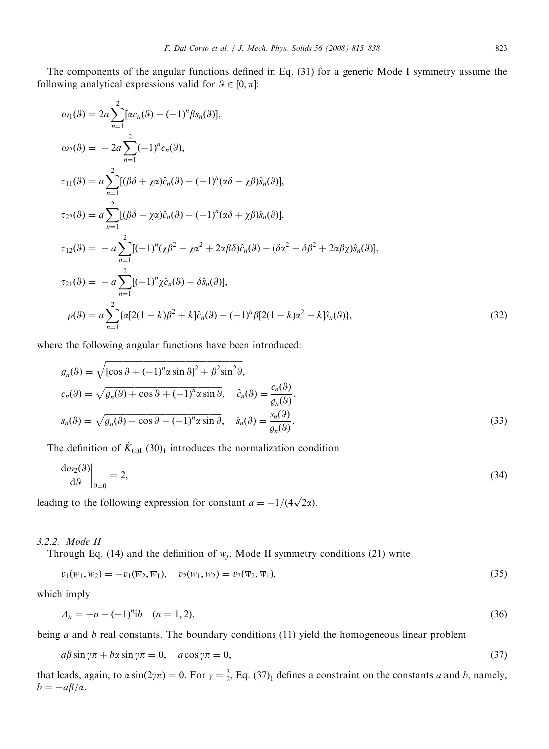The components of the angular functions defined in Eq. (31) for a generic Mode I symmetry assume the following analytical expressions valid for  $\vartheta \in [0, \pi]$ :

$$
\omega_1(\theta) = 2a \sum_{n=1}^{2} [\alpha c_n(\theta) - (-1)^n \beta s_n(\theta)],
$$
  
\n
$$
\omega_2(\theta) = -2a \sum_{n=1}^{2} (-1)^n c_n(\theta),
$$
  
\n
$$
\tau_{11}(\theta) = a \sum_{n=1}^{2} [(\beta \delta + \chi \alpha) \hat{c}_n(\theta) - (-1)^n (\alpha \delta - \chi \beta) \hat{s}_n(\theta)],
$$
  
\n
$$
\tau_{22}(\theta) = a \sum_{n=1}^{2} [(\beta \delta - \chi \alpha) \hat{c}_n(\theta) - (-1)^n (\alpha \delta + \chi \beta) \hat{s}_n(\theta)],
$$
  
\n
$$
\tau_{12}(\theta) = -a \sum_{n=1}^{2} [(-1)^n (\chi \beta^2 - \chi \alpha^2 + 2 \alpha \beta \delta) \hat{c}_n(\theta) - (\delta \alpha^2 - \delta \beta^2 + 2 \alpha \beta \chi) \hat{s}_n(\theta)],
$$
  
\n
$$
\tau_{21}(\theta) = -a \sum_{n=1}^{2} [(-1)^n \chi \hat{c}_n(\theta) - \delta \hat{s}_n(\theta)],
$$
  
\n
$$
\rho(\theta) = a \sum_{n=1}^{2} [\alpha [2(1-k)\beta^2 + k] \hat{c}_n(\theta) - (-1)^n \beta [2(1-k)\alpha^2 - k] \hat{s}_n(\theta)],
$$
\n(32)

where the following angular functions have been introduced:

$$
g_n(3) = \sqrt{[\cos 3 + (-1)^n \alpha \sin 3]^2 + \beta^2 \sin^2 3},
$$
  
\n
$$
c_n(3) = \sqrt{g_n(3) + \cos 3 + (-1)^n \alpha \sin 3},
$$
  
\n
$$
\hat{c}_n(3) = \frac{c_n(3)}{g_n(3)},
$$
  
\n
$$
s_n(3) = \sqrt{g_n(3) - \cos 3 - (-1)^n \alpha \sin 3},
$$
  
\n
$$
\hat{s}_n(3) = \frac{s_n(3)}{g_n(3)}.
$$
\n(33)

The definition of  $\dot{K}_{(\varepsilon)I}$  (30)<sub>1</sub> introduces the normalization condition

$$
\left. \frac{\mathrm{d}\omega_2(9)}{\mathrm{d}\theta} \right|_{\theta=0} = 2,\tag{34}
$$

leading to the following expression for constant  $a = -1/(4\sqrt{2}\alpha)$ .

## 3.2.2. Mode II

Through Eq. (14) and the definition of  $w_i$ , Mode II symmetry conditions (21) write

$$
v_1(w_1, w_2) = -v_1(\overline{w}_2, \overline{w}_1), \quad v_2(w_1, w_2) = v_2(\overline{w}_2, \overline{w}_1), \tag{35}
$$

which imply

$$
A_n = -a - (-1)^n i b \quad (n = 1, 2), \tag{36}
$$

being a and b real constants. The boundary conditions  $(11)$  yield the homogeneous linear problem

$$
a\beta\sin\gamma\pi + b\alpha\sin\gamma\pi = 0, \quad a\cos\gamma\pi = 0,
$$
\n<sup>(37)</sup>

that leads, again, to  $\alpha \sin(2\gamma \pi) = 0$ . For  $\gamma = \frac{3}{2}$ , Eq. (37)<sub>1</sub> defines a constraint on the constants a and b, namely,  $b = -a\beta/\alpha$ .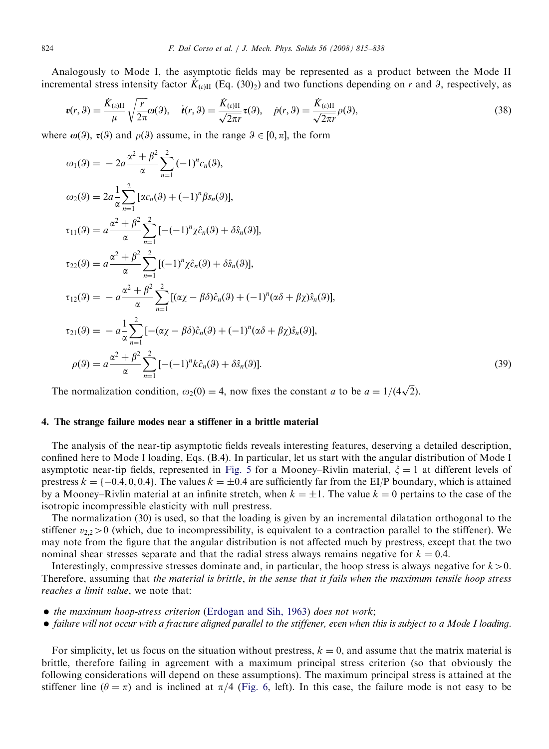Analogously to Mode I, the asymptotic fields may be represented as a product between the Mode II incremental stress intensity factor  $\dot{K}_{(\varepsilon)II}$  (Eq. (30)<sub>2</sub>) and two functions depending on r and 9, respectively, as

$$
\mathbf{v}(r,\vartheta) = \frac{\dot{K}_{(\varepsilon)\mathrm{II}}}{\mu} \sqrt{\frac{r}{2\pi}} \omega(\vartheta), \quad \dot{\mathbf{t}}(r,\vartheta) = \frac{\dot{K}_{(\varepsilon)\mathrm{II}}}{\sqrt{2\pi r}} \tau(\vartheta), \quad \dot{p}(r,\vartheta) = \frac{\dot{K}_{(\varepsilon)\mathrm{II}}}{\sqrt{2\pi r}} \rho(\vartheta), \tag{38}
$$

where  $\omega(\vartheta)$ ,  $\tau(\vartheta)$  and  $\rho(\vartheta)$  assume, in the range  $\vartheta \in [0, \pi]$ , the form

$$
\omega_1(\theta) = -2a \frac{\alpha^2 + \beta^2}{\alpha} \sum_{n=1}^2 (-1)^n c_n(\theta),
$$
  
\n
$$
\omega_2(\theta) = 2a \frac{1}{\alpha} \sum_{n=1}^2 [ac_n(\theta) + (-1)^n \beta s_n(\theta)],
$$
  
\n
$$
\tau_{11}(\theta) = a \frac{\alpha^2 + \beta^2}{\alpha} \sum_{n=1}^2 [(-1)^n \chi \hat{c}_n(\theta) + \delta \hat{s}_n(\theta)],
$$
  
\n
$$
\tau_{22}(\theta) = a \frac{\alpha^2 + \beta^2}{\alpha} \sum_{n=1}^2 [(-1)^n \chi \hat{c}_n(\theta) + \delta \hat{s}_n(\theta)],
$$
  
\n
$$
\tau_{12}(\theta) = -a \frac{\alpha^2 + \beta^2}{\alpha} \sum_{n=1}^2 [(\alpha \chi - \beta \delta) \hat{c}_n(\theta) + (-1)^n (\alpha \delta + \beta \chi) \hat{s}_n(\theta)],
$$
  
\n
$$
\tau_{21}(\theta) = -a \frac{1}{\alpha} \sum_{n=1}^2 [-(\alpha \chi - \beta \delta) \hat{c}_n(\theta) + (-1)^n (\alpha \delta + \beta \chi) \hat{s}_n(\theta)],
$$
  
\n
$$
\rho(\theta) = a \frac{\alpha^2 + \beta^2}{\alpha} \sum_{n=1}^2 [-(1)^n \kappa \hat{c}_n(\theta) + \delta \hat{s}_n(\theta)].
$$
  
\n(39)

The normalization condition,  $\omega_2(0) = 4$ , now fixes the constant a to be  $a = 1/(4\sqrt{2})$ .

#### 4. The strange failure modes near a stiffener in a brittle material

The analysis of the near-tip asymptotic fields reveals interesting features, deserving a detailed description, confined here to Mode I loading, Eqs. (B.4). In particular, let us start with the angular distribution of Mode I asymptotic near-tip fields, represented in [Fig. 5](#page-10-0) for a Mooney–Rivlin material,  $\xi = 1$  at different levels of prestress  $k = \{-0.4, 0, 0.4\}$ . The values  $k = \pm 0.4$  are sufficiently far from the EI/P boundary, which is attained by a Mooney–Rivlin material at an infinite stretch, when  $k = \pm 1$ . The value  $k = 0$  pertains to the case of the isotropic incompressible elasticity with null prestress.

The normalization (30) is used, so that the loading is given by an incremental dilatation orthogonal to the stiffener  $v_{2,2} > 0$  (which, due to incompressibility, is equivalent to a contraction parallel to the stiffener). We may note from the figure that the angular distribution is not affected much by prestress, except that the two nominal shear stresses separate and that the radial stress always remains negative for  $k = 0.4$ .

Interestingly, compressive stresses dominate and, in particular, the hoop stress is always negative for  $k>0$ . Therefore, assuming that the material is brittle, in the sense that it fails when the maximum tensile hoop stress reaches a limit value, we note that:

- *the maximum hoop-stress criterion* [\(Erdogan and Sih, 1963\)](#page-23-0) *does not work*;
- failure will not occur with a fracture aligned parallel to the stiffener, even when this is subject to a Mode I loading.

For simplicity, let us focus on the situation without prestress,  $k = 0$ , and assume that the matrix material is brittle, therefore failing in agreement with a maximum principal stress criterion (so that obviously the following considerations will depend on these assumptions). The maximum principal stress is attained at the stiffener line ( $\theta = \pi$ ) and is inclined at  $\pi/4$  [\(Fig. 6,](#page-11-0) left). In this case, the failure mode is not easy to be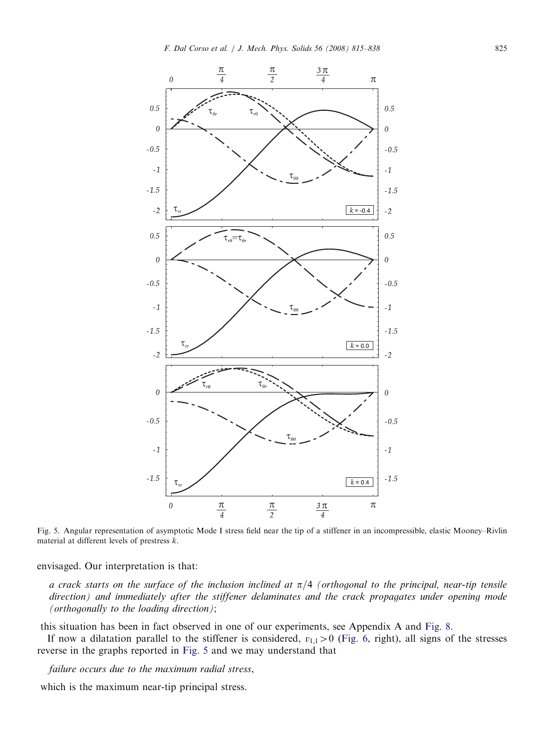<span id="page-10-0"></span>

Fig. 5. Angular representation of asymptotic Mode I stress field near the tip of a stiffener in an incompressible, elastic Mooney–Rivlin material at different levels of prestress k.

envisaged. Our interpretation is that:

a crack starts on the surface of the inclusion inclined at  $\pi/4$  (orthogonal to the principal, near-tip tensile direction) and immediately after the stiffener delaminates and the crack propagates under opening mode (orthogonally to the loading direction);

this situation has been in fact observed in one of our experiments, see Appendix A and [Fig. 8.](#page-12-0)

If now a dilatation parallel to the stiffener is considered,  $v_{1,1} > 0$  ([Fig. 6,](#page-11-0) right), all signs of the stresses reverse in the graphs reported in Fig. 5 and we may understand that

failure occurs due to the maximum radial stress,

which is the maximum near-tip principal stress.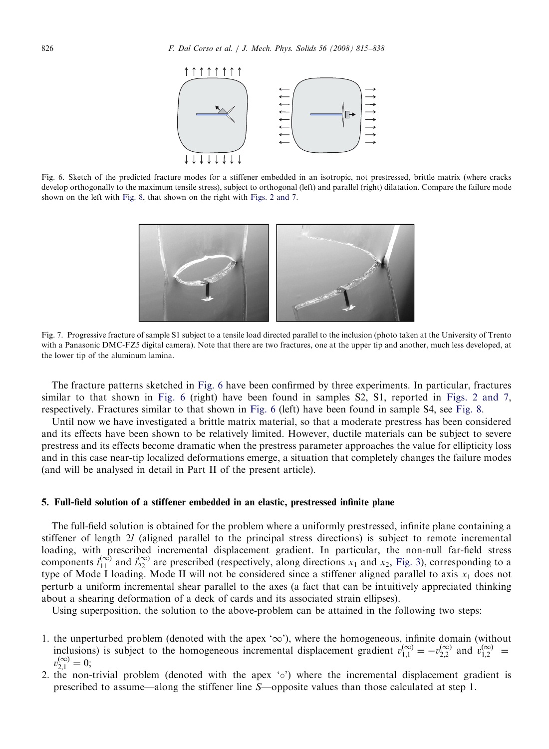<span id="page-11-0"></span>

Fig. 6. Sketch of the predicted fracture modes for a stiffener embedded in an isotropic, not prestressed, brittle matrix (where cracks develop orthogonally to the maximum tensile stress), subject to orthogonal (left) and parallel (right) dilatation. Compare the failure mode shown on the left with [Fig. 8,](#page-12-0) that shown on the right with [Figs. 2 and 7.](#page-2-0)



Fig. 7. Progressive fracture of sample S1 subject to a tensile load directed parallel to the inclusion (photo taken at the University of Trento with a Panasonic DMC-FZ5 digital camera). Note that there are two fractures, one at the upper tip and another, much less developed, at the lower tip of the aluminum lamina.

The fracture patterns sketched in Fig. 6 have been confirmed by three experiments. In particular, fractures similar to that shown in Fig. 6 (right) have been found in samples S2, S1, reported in Figs. 2 and 7, respectively. Fractures similar to that shown in Fig. 6 (left) have been found in sample S4, see [Fig. 8.](#page-12-0)

Until now we have investigated a brittle matrix material, so that a moderate prestress has been considered and its effects have been shown to be relatively limited. However, ductile materials can be subject to severe prestress and its effects become dramatic when the prestress parameter approaches the value for ellipticity loss and in this case near-tip localized deformations emerge, a situation that completely changes the failure modes (and will be analysed in detail in Part II of the present article).

#### 5. Full-field solution of a stiffener embedded in an elastic, prestressed infinite plane

The full-field solution is obtained for the problem where a uniformly prestressed, infinite plane containing a stiffener of length 2l (aligned parallel to the principal stress directions) is subject to remote incremental loading, with prescribed incremental displacement gradient. In particular, the non-null far-field stress components  $i_{11}^{(\infty)}$  and  $i_{22}^{(\infty)}$  are prescribed (respectively, along directions  $x_1$  and  $x_2$ , [Fig. 3](#page-3-0)), corresponding to a type of Mode I loading. Mode II will not be considered since a stiffener aligned parallel to axis  $x_1$  does not perturb a uniform incremental shear parallel to the axes (a fact that can be intuitively appreciated thinking about a shearing deformation of a deck of cards and its associated strain ellipses).

Using superposition, the solution to the above-problem can be attained in the following two steps:

- 1. the unperturbed problem (denoted with the apex  $\infty$ ), where the homogeneous, infinite domain (without inclusions) is subject to the homogeneous incremental displacement gradient  $v_{1,1}^{(\infty)} = -v_{2,2}^{(\infty)}$  and  $v_{1,2}^{(\infty)} =$  $v_{2,1}^{(\infty)} = 0;$
- 2. the non-trivial problem (denoted with the apex  $\langle \circ \rangle$ ) where the incremental displacement gradient is prescribed to assume—along the stiffener line S—opposite values than those calculated at step 1.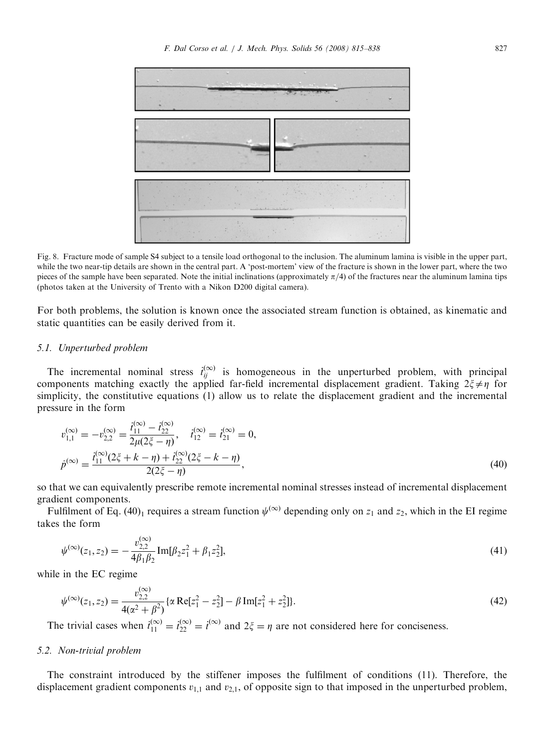<span id="page-12-0"></span>

Fig. 8. Fracture mode of sample S4 subject to a tensile load orthogonal to the inclusion. The aluminum lamina is visible in the upper part, while the two near-tip details are shown in the central part. A 'post-mortem' view of the fracture is shown in the lower part, where the two pieces of the sample have been separated. Note the initial inclinations (approximately  $\pi/4$ ) of the fractures near the aluminum lamina tips (photos taken at the University of Trento with a Nikon D200 digital camera).

For both problems, the solution is known once the associated stream function is obtained, as kinematic and static quantities can be easily derived from it.

## 5.1. Unperturbed problem

The incremental nominal stress  $\vec{t}_{ij}^{(\infty)}$  is homogeneous in the unperturbed problem, with principal components matching exactly the applied far-field incremental displacement gradient. Taking  $2\xi \neq \eta$  for simplicity, the constitutive equations (1) allow us to relate the displacement gradient and the incremental pressure in the form

$$
v_{1,1}^{(\infty)} = -v_{2,2}^{(\infty)} = \frac{\dot{t}_{11}^{(\infty)} - \dot{t}_{22}^{(\infty)}}{2\mu(2\xi - \eta)}, \quad \dot{t}_{12}^{(\infty)} = \dot{t}_{21}^{(\infty)} = 0,
$$
  

$$
\dot{p}^{(\infty)} = \frac{\dot{t}_{11}^{(\infty)}(2\xi + k - \eta) + \dot{t}_{22}^{(\infty)}(2\xi - k - \eta)}{2(2\xi - \eta)},
$$
\n(40)

so that we can equivalently prescribe remote incremental nominal stresses instead of incremental displacement gradient components.

Fulfilment of Eq. (40)<sub>1</sub> requires a stream function  $\psi^{(\infty)}$  depending only on  $z_1$  and  $z_2$ , which in the EI regime takes the form

$$
\psi^{(\infty)}(z_1, z_2) = -\frac{v_{2,2}^{(\infty)}}{4\beta_1 \beta_2} \text{Im}[\beta_2 z_1^2 + \beta_1 z_2^2],\tag{41}
$$

while in the EC regime

$$
\psi^{(\infty)}(z_1, z_2) = \frac{v_{2,2}^{(\infty)}}{4(\alpha^2 + \beta^2)} \{ \alpha \operatorname{Re}[z_1^2 - z_2^2] - \beta \operatorname{Im}[z_1^2 + z_2^2] \}. \tag{42}
$$

The trivial cases when  $i_{11}^{(\infty)} = i_{22}^{(\infty)} = i^{(\infty)}$  and  $2\xi = \eta$  are not considered here for conciseness.

## 5.2. Non-trivial problem

The constraint introduced by the stiffener imposes the fulfilment of conditions (11). Therefore, the displacement gradient components  $v_{1,1}$  and  $v_{2,1}$ , of opposite sign to that imposed in the unperturbed problem,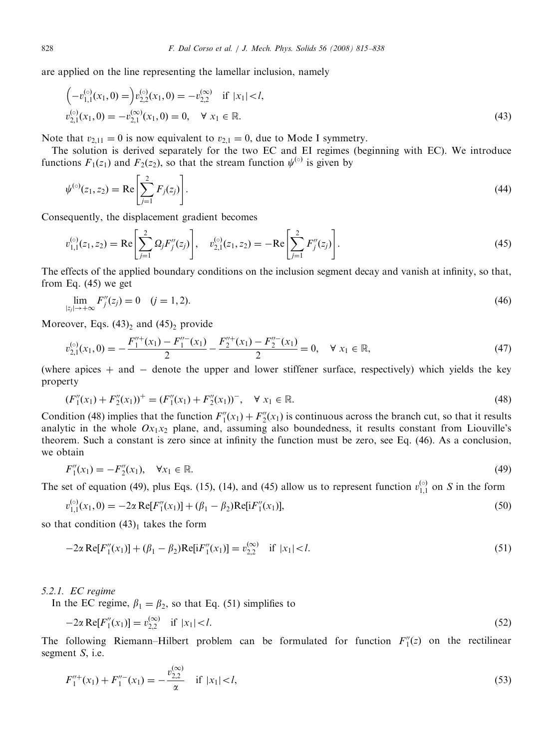are applied on the line representing the lamellar inclusion, namely

$$
\left(-v_{1,1}^{(0)}(x_1,0) = \right) v_{2,2}^{(0)}(x_1,0) = -v_{2,2}^{(\infty)} \quad \text{if } |x_1| < l,
$$
  
\n
$$
v_{2,1}^{(0)}(x_1,0) = -v_{2,1}^{(\infty)}(x_1,0) = 0, \quad \forall x_1 \in \mathbb{R}.
$$
\n(43)

Note that  $v_{2,11} = 0$  is now equivalent to  $v_{2,1} = 0$ , due to Mode I symmetry.

The solution is derived separately for the two EC and EI regimes (beginning with EC). We introduce functions  $F_1(z_1)$  and  $F_2(z_2)$ , so that the stream function  $\psi^{(\circ)}$  is given by

$$
\psi^{(0)}(z_1, z_2) = \text{Re}\left[\sum_{j=1}^2 F_j(z_j)\right].\tag{44}
$$

Consequently, the displacement gradient becomes

$$
v_{1,1}^{(0)}(z_1, z_2) = \text{Re}\left[\sum_{j=1}^2 \Omega_j F_j''(z_j)\right], \quad v_{2,1}^{(0)}(z_1, z_2) = -\text{Re}\left[\sum_{j=1}^2 F_j''(z_j)\right].\tag{45}
$$

The effects of the applied boundary conditions on the inclusion segment decay and vanish at infinity, so that, from Eq. (45) we get

$$
\lim_{|z_j| \to +\infty} F_j''(z_j) = 0 \quad (j = 1, 2). \tag{46}
$$

Moreover, Eqs.  $(43)_2$  and  $(45)_2$  provide

$$
v_{2,1}^{(0)}(x_1,0) = -\frac{F_1''^+(x_1) - F_1''^-(x_1)}{2} - \frac{F_2''^+(x_1) - F_2''^-(x_1)}{2} = 0, \quad \forall \ x_1 \in \mathbb{R},\tag{47}
$$

(where apices  $+$  and  $-$  denote the upper and lower stiffener surface, respectively) which yields the key property

$$
(F_1''(x_1) + F_2''(x_1))^+ = (F_1''(x_1) + F_2''(x_1))^-, \quad \forall x_1 \in \mathbb{R}.
$$
\n(48)

Condition (48) implies that the function  $F''_1(x_1) + F''_2(x_1)$  is continuous across the branch cut, so that it results analytic in the whole  $Ox_1x_2$  plane, and, assuming also boundedness, it results constant from Liouville's theorem. Such a constant is zero since at infinity the function must be zero, see Eq. (46). As a conclusion, we obtain

$$
F_1''(x_1) = -F_2''(x_1), \quad \forall x_1 \in \mathbb{R}.\tag{49}
$$

The set of equation (49), plus Eqs. (15), (14), and (45) allow us to represent function  $v_{1,1}^{(\circ)}$  on S in the form

$$
v_{1,1}^{(0)}(x_1,0) = -2\alpha \operatorname{Re}[F_1''(x_1)] + (\beta_1 - \beta_2) \operatorname{Re}[iF_1''(x_1)],
$$
\n(50)

so that condition  $(43)_1$  takes the form

$$
-2\alpha \operatorname{Re}[F''_1(x_1)] + (\beta_1 - \beta_2) \operatorname{Re}[iF''_1(x_1)] = v_{2,2}^{(\infty)} \quad \text{if } |x_1| < l. \tag{51}
$$

## 5.2.1. EC regime

In the EC regime,  $\beta_1 = \beta_2$ , so that Eq. (51) simplifies to

$$
-2\alpha \operatorname{Re}[F''_1(x_1)] = v_{2,2}^{(\infty)} \quad \text{if } |x_1| < l. \tag{52}
$$

The following Riemann–Hilbert problem can be formulated for function  $F_1''(z)$  on the rectilinear segment S, i.e.

$$
F_1''^+(x_1) + F_1''^-(x_1) = -\frac{v_{2,2}^{(\infty)}}{\alpha} \quad \text{if } |x_1| < l,\tag{53}
$$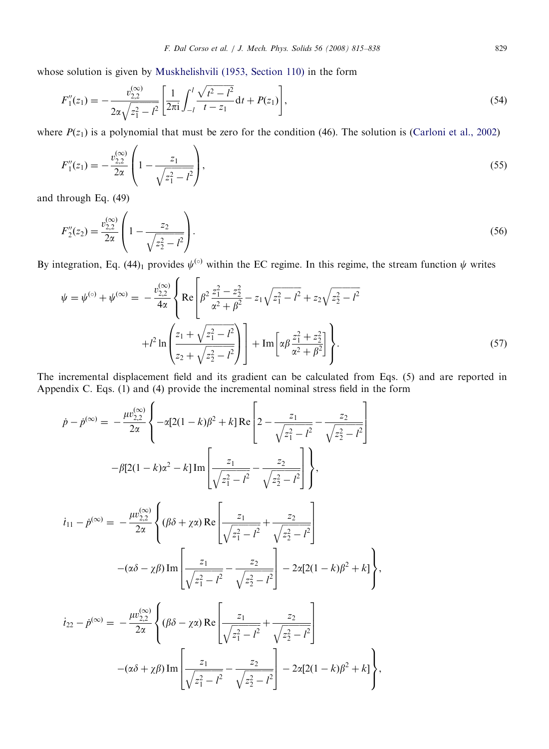whose solution is given by [Muskhelishvili \(1953, Section 110\)](#page-23-0) in the form

 $\overline{2}$ 

$$
F_1''(z_1) = -\frac{v_{2,2}^{(\infty)}}{2\alpha\sqrt{z_1^2 - l^2}} \left[ \frac{1}{2\pi i} \int_{-l}^{l} \frac{\sqrt{t^2 - l^2}}{t - z_1} dt + P(z_1) \right],\tag{54}
$$

where  $P(z_1)$  is a polynomial that must be zero for the condition (46). The solution is ([Carloni et al., 2002\)](#page-23-0)

$$
F_1''(z_1) = -\frac{v_{2,2}^{(\infty)}}{2\alpha} \left(1 - \frac{z_1}{\sqrt{z_1^2 - l^2}}\right),\tag{55}
$$

and through Eq. (49)

$$
F_2''(z_2) = \frac{v_{2,2}^{(\infty)}}{2\alpha} \left( 1 - \frac{z_2}{\sqrt{z_2^2 - l^2}} \right).
$$
\n(56)

By integration, Eq. (44)<sub>1</sub> provides  $\psi^{(0)}$  within the EC regime. In this regime, the stream function  $\psi$  writes

$$
\psi = \psi^{(\circ)} + \psi^{(\infty)} = -\frac{v_{2,2}^{(\infty)}}{4\alpha} \left\{ \text{Re} \left[ \beta^2 \frac{z_1^2 - z_2^2}{\alpha^2 + \beta^2} - z_1 \sqrt{z_1^2 - l^2} + z_2 \sqrt{z_2^2 - l^2} \right] + l^2 \ln \left( \frac{z_1 + \sqrt{z_1^2 - l^2}}{z_2 + \sqrt{z_2^2 - l^2}} \right) \right\} + \text{Im} \left[ \alpha \beta \frac{z_1^2 + z_2^2}{\alpha^2 + \beta^2} \right] \right\}. \tag{57}
$$

The incremental displacement field and its gradient can be calculated from Eqs. (5) and are reported in Appendix C. Eqs. (1) and (4) provide the incremental nominal stress field in the form

$$
\dot{p} - \dot{p}^{(\infty)} = -\frac{\mu v_{2,2}^{(\infty)}}{2\alpha} \left\{ -\alpha [2(1-k)\beta^2 + k] \operatorname{Re} \left[ 2 - \frac{z_1}{\sqrt{z_1^2 - l^2}} - \frac{z_2}{\sqrt{z_2^2 - l^2}} \right] \right\} \n- \beta [2(1-k)\alpha^2 - k] \operatorname{Im} \left[ \frac{z_1}{\sqrt{z_1^2 - l^2}} - \frac{z_2}{\sqrt{z_2^2 - l^2}} \right] \right\},
$$
\n
$$
\dot{t}_{11} - \dot{p}^{(\infty)} = -\frac{\mu v_{2,2}^{(\infty)}}{2\alpha} \left\{ (\beta \delta + \chi \alpha) \operatorname{Re} \left[ \frac{z_1}{\sqrt{z_1^2 - l^2}} + \frac{z_2}{\sqrt{z_2^2 - l^2}} \right] - 2\alpha [2(1-k)\beta^2 + k] \right\},
$$
\n
$$
\dot{t}_{22} - \dot{p}^{(\infty)} = -\frac{\mu v_{2,2}^{(\infty)}}{2\alpha} \left\{ (\beta \delta - \chi \alpha) \operatorname{Re} \left[ \frac{z_1}{\sqrt{z_1^2 - l^2}} + \frac{z_2}{\sqrt{z_2^2 - l^2}} \right] - 2\alpha [2(1-k)\beta^2 + k] \right\},
$$
\n
$$
-\left(\alpha \delta + \chi \beta\right) \operatorname{Im} \left[ \frac{z_1}{\sqrt{z_1^2 - l^2}} - \frac{z_2}{\sqrt{z_2^2 - l^2}} \right] - 2\alpha [2(1-k)\beta^2 + k] \right\},
$$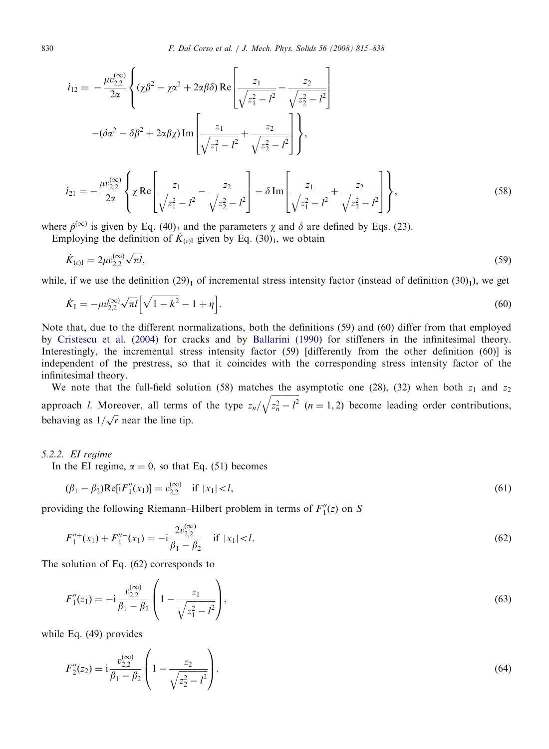$$
\dot{t}_{12} = -\frac{\mu v_{2,2}^{(\infty)}}{2\alpha} \left\{ (\chi \beta^2 - \chi \alpha^2 + 2\alpha \beta \delta) \operatorname{Re} \left[ \frac{z_1}{\sqrt{z_1^2 - l^2}} - \frac{z_2}{\sqrt{z_2^2 - l^2}} \right] - (\delta \alpha^2 - \delta \beta^2 + 2\alpha \beta \chi) \operatorname{Im} \left[ \frac{z_1}{\sqrt{z_1^2 - l^2}} + \frac{z_2}{\sqrt{z_2^2 - l^2}} \right] \right\},\
$$

$$
\dot{t}_{21} = -\frac{\mu v_{2,2}^{(\infty)}}{2\alpha} \left\{ \chi \operatorname{Re} \left[ \frac{z_1}{\sqrt{z_1^2 - l^2}} - \frac{z_2}{\sqrt{z_2^2 - l^2}} \right] - \delta \operatorname{Im} \left[ \frac{z_1}{\sqrt{z_1^2 - l^2}} + \frac{z_2}{\sqrt{z_2^2 - l^2}} \right] \right\},\
$$
(58)

where  $\dot{p}^{(\infty)}$  is given by Eq. (40)<sub>3</sub> and the parameters  $\gamma$  and  $\delta$  are defined by Eqs. (23).

Employing the definition of  $\dot{K}_{\text{e,II}}$  given by Eq. (30)<sub>1</sub>, we obtain

$$
\dot{K}_{\text{(c)I}} = 2\mu v_{2,2}^{(\infty)} \sqrt{\pi l},\tag{59}
$$

while, if we use the definition  $(29)_1$  of incremental stress intensity factor (instead of definition  $(30)_1$ ), we get

$$
\dot{K}_{\rm I} = -\mu v_{2,2}^{(\infty)} \sqrt{\pi l} \Big[ \sqrt{1 - k^2} - 1 + \eta \Big]. \tag{60}
$$

Note that, due to the different normalizations, both the definitions (59) and (60) differ from that employed by [Cristescu et al. \(2004\)](#page-23-0) for cracks and by [Ballarini \(1990\)](#page-23-0) for stiffeners in the infinitesimal theory. Interestingly, the incremental stress intensity factor (59) [differently from the other definition (60)] is independent of the prestress, so that it coincides with the corresponding stress intensity factor of the infinitesimal theory.

We note that the full-field solution (58) matches the asymptotic one (28), (32) when both  $z_1$  and  $z_2$ approach *l*. Moreover, all terms of the type  $z_n/$  $\frac{1}{\sqrt{2}}$  $\sqrt{z_n^2 - l^2}$  $(n = 1, 2)$  become leading order contributions, behaving as  $1/\sqrt{r}$  near the line tip.

#### 5.2.2. EI regime

In the EI regime,  $\alpha = 0$ , so that Eq. (51) becomes

$$
(\beta_1 - \beta_2) \text{Re}[iF_1''(x_1)] = v_{2,2}^{(\infty)} \quad \text{if } |x_1| < l,\tag{61}
$$

providing the following Riemann–Hilbert problem in terms of  $F''_1(z)$  on S

$$
F_1''^+(x_1) + F_1''^-(x_1) = -i \frac{2v_{2,2}^{(\infty)}}{\beta_1 - \beta_2} \quad \text{if } |x_1| < l. \tag{62}
$$

The solution of Eq. (62) corresponds to

$$
F_1''(z_1) = -i \frac{v_{2,2}^{(\infty)}}{\beta_1 - \beta_2} \left( 1 - \frac{z_1}{\sqrt{z_1^2 - l^2}} \right),\tag{63}
$$

while Eq. (49) provides

$$
F_2''(z_2) = \mathbf{i} \frac{v_{2,2}^{(\infty)}}{\beta_1 - \beta_2} \left( 1 - \frac{z_2}{\sqrt{z_2^2 - l^2}} \right). \tag{64}
$$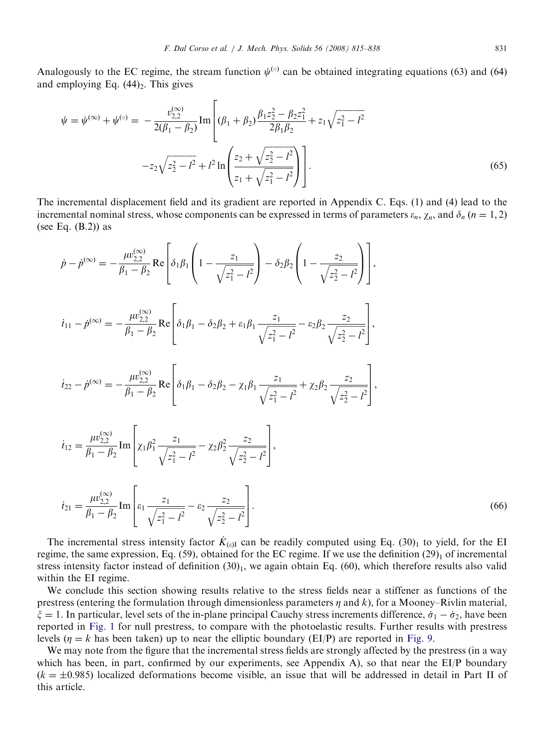Analogously to the EC regime, the stream function  $\psi^{(0)}$  can be obtained integrating equations (63) and (64) and employing Eq.  $(44)_2$ . This gives

 $\mathbf{r}$ 

$$
\psi = \psi^{(\infty)} + \psi^{(\infty)} = -\frac{v_{2,2}^{(\infty)}}{2(\beta_1 - \beta_2)} \operatorname{Im} \left[ (\beta_1 + \beta_2) \frac{\beta_1 z_2^2 - \beta_2 z_1^2}{2\beta_1 \beta_2} + z_1 \sqrt{z_1^2 - l^2} - z_2 \sqrt{z_2^2 - l^2} + l^2 \ln \left( \frac{z_2 + \sqrt{z_2^2 - l^2}}{z_1 + \sqrt{z_1^2 - l^2}} \right) \right].
$$
\n(65)

The incremental displacement field and its gradient are reported in Appendix C. Eqs. (1) and (4) lead to the incremental nominal stress, whose components can be expressed in terms of parameters  $\varepsilon_n$ ,  $\chi_n$ , and  $\delta_n$  ( $n = 1, 2$ ) (see Eq.  $(B.2)$ ) as

$$
\dot{p} - \dot{p}^{(\infty)} = -\frac{\mu v_{2,2}^{(\infty)}}{\beta_1 - \beta_2} \text{Re} \left[ \delta_1 \beta_1 \left( 1 - \frac{z_1}{\sqrt{z_1^2 - l^2}} \right) - \delta_2 \beta_2 \left( 1 - \frac{z_2}{\sqrt{z_2^2 - l^2}} \right) \right],
$$
  
\n
$$
\dot{i}_{11} - \dot{p}^{(\infty)} = -\frac{\mu v_{2,2}^{(\infty)}}{\beta_1 - \beta_2} \text{Re} \left[ \delta_1 \beta_1 - \delta_2 \beta_2 + \varepsilon_1 \beta_1 \frac{z_1}{\sqrt{z_1^2 - l^2}} - \varepsilon_2 \beta_2 \frac{z_2}{\sqrt{z_2^2 - l^2}} \right],
$$
  
\n
$$
\dot{i}_{22} - \dot{p}^{(\infty)} = -\frac{\mu v_{2,2}^{(\infty)}}{\beta_1 - \beta_2} \text{Re} \left[ \delta_1 \beta_1 - \delta_2 \beta_2 - \chi_1 \beta_1 \frac{z_1}{\sqrt{z_1^2 - l^2}} + \chi_2 \beta_2 \frac{z_2}{\sqrt{z_2^2 - l^2}} \right],
$$
  
\n
$$
\dot{i}_{12} = \frac{\mu v_{2,2}^{(\infty)}}{\beta_1 - \beta_2} \text{Im} \left[ \chi_1 \beta_1^2 \frac{z_1}{\sqrt{z_1^2 - l^2}} - \chi_2 \beta_2^2 \frac{z_2}{\sqrt{z_2^2 - l^2}} \right],
$$
  
\n
$$
\dot{i}_{21} = \frac{\mu v_{2,2}^{(\infty)}}{\beta_1 - \beta_2} \text{Im} \left[ \varepsilon_1 \frac{z_1}{\sqrt{z_1^2 - l^2}} - \varepsilon_2 \frac{z_2}{\sqrt{z_2^2 - l^2}} \right].
$$
  
\n(66)

The incremental stress intensity factor  $\dot{K}_{(\varepsilon)}$  can be readily computed using Eq. (30)<sub>1</sub> to yield, for the EI regime, the same expression, Eq. (59), obtained for the EC regime. If we use the definition  $(29)_1$  of incremental stress intensity factor instead of definition  $(30)_1$ , we again obtain Eq. (60), which therefore results also valid within the EI regime.

We conclude this section showing results relative to the stress fields near a stiffener as functions of the prestress (entering the formulation through dimensionless parameters  $\eta$  and  $k$ ), for a Mooney–Rivlin material,  $\xi = 1$ . In particular, level sets of the in-plane principal Cauchy stress increments difference,  $\dot{\sigma}_1 - \dot{\sigma}_2$ , have been reported in [Fig. 1](#page-1-0) for null prestress, to compare with the photoelastic results. Further results with prestress levels ( $\eta = k$  has been taken) up to near the elliptic boundary (EI/P) are reported in [Fig. 9](#page-17-0).

We may note from the figure that the incremental stress fields are strongly affected by the prestress (in a way which has been, in part, confirmed by our experiments, see Appendix A), so that near the EI/P boundary  $(k = \pm 0.985)$  localized deformations become visible, an issue that will be addressed in detail in Part II of this article.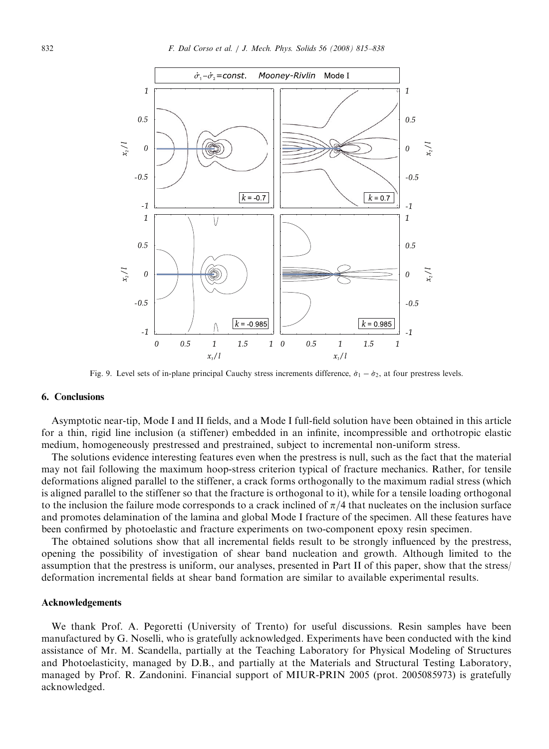<span id="page-17-0"></span>

Fig. 9. Level sets of in-plane principal Cauchy stress increments difference,  $\dot{\sigma}_1 - \dot{\sigma}_2$ , at four prestress levels.

## 6. Conclusions

Asymptotic near-tip, Mode I and II fields, and a Mode I full-field solution have been obtained in this article for a thin, rigid line inclusion (a stiffener) embedded in an infinite, incompressible and orthotropic elastic medium, homogeneously prestressed and prestrained, subject to incremental non-uniform stress.

The solutions evidence interesting features even when the prestress is null, such as the fact that the material may not fail following the maximum hoop-stress criterion typical of fracture mechanics. Rather, for tensile deformations aligned parallel to the stiffener, a crack forms orthogonally to the maximum radial stress (which is aligned parallel to the stiffener so that the fracture is orthogonal to it), while for a tensile loading orthogonal to the inclusion the failure mode corresponds to a crack inclined of  $\pi/4$  that nucleates on the inclusion surface and promotes delamination of the lamina and global Mode I fracture of the specimen. All these features have been confirmed by photoelastic and fracture experiments on two-component epoxy resin specimen.

The obtained solutions show that all incremental fields result to be strongly influenced by the prestress, opening the possibility of investigation of shear band nucleation and growth. Although limited to the assumption that the prestress is uniform, our analyses, presented in Part II of this paper, show that the stress/ deformation incremental fields at shear band formation are similar to available experimental results.

## Acknowledgements

We thank Prof. A. Pegoretti (University of Trento) for useful discussions. Resin samples have been manufactured by G. Noselli, who is gratefully acknowledged. Experiments have been conducted with the kind assistance of Mr. M. Scandella, partially at the Teaching Laboratory for Physical Modeling of Structures and Photoelasticity, managed by D.B., and partially at the Materials and Structural Testing Laboratory, managed by Prof. R. Zandonini. Financial support of MIUR-PRIN 2005 (prot. 2005085973) is gratefully acknowledged.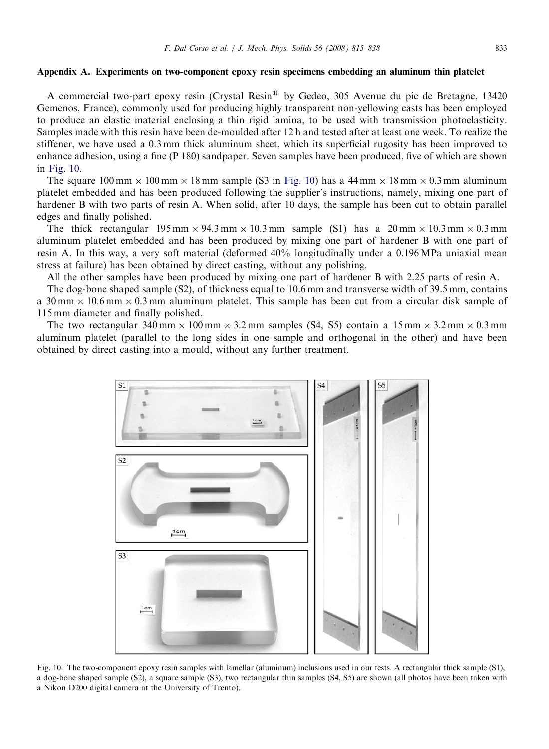## Appendix A. Experiments on two-component epoxy resin specimens embedding an aluminum thin platelet

A commercial two-part epoxy resin (Crystal Resin<sup>®</sup> by Gedeo, 305 Avenue du pic de Bretagne, 13420 Gemenos, France), commonly used for producing highly transparent non-yellowing casts has been employed to produce an elastic material enclosing a thin rigid lamina, to be used with transmission photoelasticity. Samples made with this resin have been de-moulded after 12 h and tested after at least one week. To realize the stiffener, we have used a 0.3 mm thick aluminum sheet, which its superficial rugosity has been improved to enhance adhesion, using a fine (P 180) sandpaper. Seven samples have been produced, five of which are shown in Fig. 10.

The square  $100 \text{ mm} \times 100 \text{ mm} \times 18 \text{ mm}$  sample (S3 in Fig. 10) has a 44 mm  $\times$  18 mm  $\times$  0.3 mm aluminum platelet embedded and has been produced following the supplier's instructions, namely, mixing one part of hardener B with two parts of resin A. When solid, after 10 days, the sample has been cut to obtain parallel edges and finally polished.

The thick rectangular  $195 \text{ mm} \times 94.3 \text{ mm} \times 10.3 \text{ mm}$  sample (S1) has a  $20 \text{ mm} \times 10.3 \text{ mm} \times 0.3 \text{ mm}$ aluminum platelet embedded and has been produced by mixing one part of hardener B with one part of resin A. In this way, a very soft material (deformed 40% longitudinally under a 0.196 MPa uniaxial mean stress at failure) has been obtained by direct casting, without any polishing.

All the other samples have been produced by mixing one part of hardener B with 2.25 parts of resin A.

The dog-bone shaped sample (S2), of thickness equal to 10.6 mm and transverse width of 39.5 mm, contains a 30 mm  $\times$  10.6 mm  $\times$  0.3 mm aluminum platelet. This sample has been cut from a circular disk sample of 115 mm diameter and finally polished.

The two rectangular 340 mm  $\times$  100 mm  $\times$  3.2 mm samples (S4, S5) contain a 15 mm  $\times$  3.2 mm  $\times$  0.3 mm aluminum platelet (parallel to the long sides in one sample and orthogonal in the other) and have been obtained by direct casting into a mould, without any further treatment.



Fig. 10. The two-component epoxy resin samples with lamellar (aluminum) inclusions used in our tests. A rectangular thick sample (S1), a dog-bone shaped sample (S2), a square sample (S3), two rectangular thin samples (S4, S5) are shown (all photos have been taken with a Nikon D200 digital camera at the University of Trento).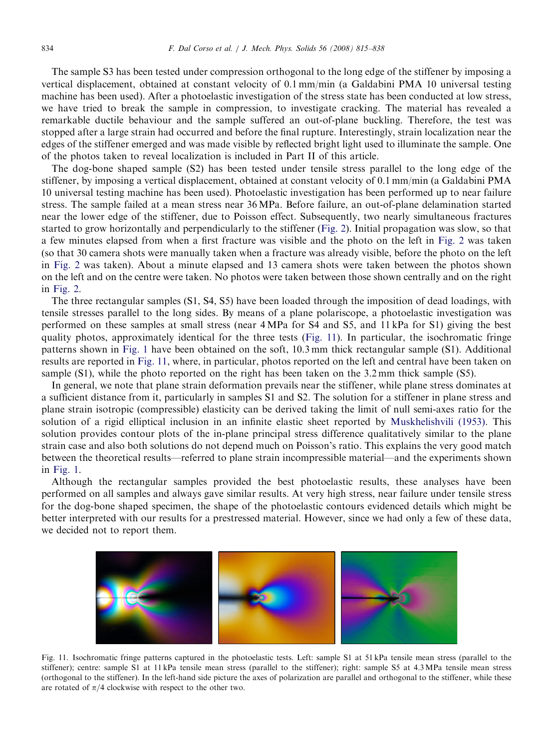The sample S3 has been tested under compression orthogonal to the long edge of the stiffener by imposing a vertical displacement, obtained at constant velocity of 0.1 mm/min (a Galdabini PMA 10 universal testing machine has been used). After a photoelastic investigation of the stress state has been conducted at low stress, we have tried to break the sample in compression, to investigate cracking. The material has revealed a remarkable ductile behaviour and the sample suffered an out-of-plane buckling. Therefore, the test was stopped after a large strain had occurred and before the final rupture. Interestingly, strain localization near the edges of the stiffener emerged and was made visible by reflected bright light used to illuminate the sample. One of the photos taken to reveal localization is included in Part II of this article.

The dog-bone shaped sample (S2) has been tested under tensile stress parallel to the long edge of the stiffener, by imposing a vertical displacement, obtained at constant velocity of 0.1 mm/min (a Galdabini PMA 10 universal testing machine has been used). Photoelastic investigation has been performed up to near failure stress. The sample failed at a mean stress near 36 MPa. Before failure, an out-of-plane delamination started near the lower edge of the stiffener, due to Poisson effect. Subsequently, two nearly simultaneous fractures started to grow horizontally and perpendicularly to the stiffener [\(Fig. 2](#page-2-0)). Initial propagation was slow, so that a few minutes elapsed from when a first fracture was visible and the photo on the left in [Fig. 2](#page-2-0) was taken (so that 30 camera shots were manually taken when a fracture was already visible, before the photo on the left in [Fig. 2](#page-2-0) was taken). About a minute elapsed and 13 camera shots were taken between the photos shown on the left and on the centre were taken. No photos were taken between those shown centrally and on the right in [Fig. 2](#page-2-0).

The three rectangular samples (S1, S4, S5) have been loaded through the imposition of dead loadings, with tensile stresses parallel to the long sides. By means of a plane polariscope, a photoelastic investigation was performed on these samples at small stress (near 4 MPa for S4 and S5, and 11 kPa for S1) giving the best quality photos, approximately identical for the three tests (Fig. 11). In particular, the isochromatic fringe patterns shown in [Fig. 1](#page-1-0) have been obtained on the soft, 10.3 mm thick rectangular sample (S1). Additional results are reported in Fig. 11, where, in particular, photos reported on the left and central have been taken on sample (S1), while the photo reported on the right has been taken on the 3.2 mm thick sample (S5).

In general, we note that plane strain deformation prevails near the stiffener, while plane stress dominates at a sufficient distance from it, particularly in samples S1 and S2. The solution for a stiffener in plane stress and plane strain isotropic (compressible) elasticity can be derived taking the limit of null semi-axes ratio for the solution of a rigid elliptical inclusion in an infinite elastic sheet reported by [Muskhelishvili \(1953\)](#page-23-0). This solution provides contour plots of the in-plane principal stress difference qualitatively similar to the plane strain case and also both solutions do not depend much on Poisson's ratio. This explains the very good match between the theoretical results—referred to plane strain incompressible material—and the experiments shown in [Fig. 1](#page-1-0).

Although the rectangular samples provided the best photoelastic results, these analyses have been performed on all samples and always gave similar results. At very high stress, near failure under tensile stress for the dog-bone shaped specimen, the shape of the photoelastic contours evidenced details which might be better interpreted with our results for a prestressed material. However, since we had only a few of these data, we decided not to report them.



Fig. 11. Isochromatic fringe patterns captured in the photoelastic tests. Left: sample S1 at 51 kPa tensile mean stress (parallel to the stiffener); centre: sample S1 at 11 kPa tensile mean stress (parallel to the stiffener); right: sample S5 at 4.3MPa tensile mean stress (orthogonal to the stiffener). In the left-hand side picture the axes of polarization are parallel and orthogonal to the stiffener, while these are rotated of  $\pi/4$  clockwise with respect to the other two.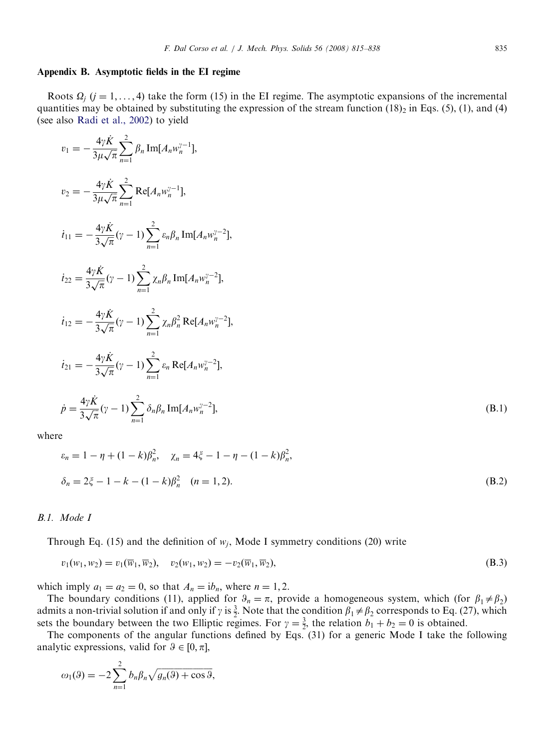## Appendix B. Asymptotic fields in the EI regime

Roots  $\Omega_i$  ( $j = 1, ..., 4$ ) take the form (15) in the EI regime. The asymptotic expansions of the incremental quantities may be obtained by substituting the expression of the stream function  $(18)_2$  in Eqs. (5), (1), and (4) (see also [Radi et al., 2002](#page-23-0)) to yield

$$
v_1 = -\frac{4\gamma \dot{K}}{3\mu\sqrt{\pi}} \sum_{n=1}^{2} \beta_n \text{Im}[A_n w_n^{\gamma-1}],
$$
  
\n
$$
v_2 = -\frac{4\gamma \dot{K}}{3\mu\sqrt{\pi}} \sum_{n=1}^{2} \text{Re}[A_n w_n^{\gamma-1}],
$$
  
\n
$$
\dot{i}_{11} = -\frac{4\gamma \dot{K}}{3\sqrt{\pi}} (\gamma - 1) \sum_{n=1}^{2} \varepsilon_n \beta_n \text{Im}[A_n w_n^{\gamma-2}],
$$
  
\n
$$
\dot{i}_{22} = \frac{4\gamma \dot{K}}{3\sqrt{\pi}} (\gamma - 1) \sum_{n=1}^{2} \chi_n \beta_n \text{Im}[A_n w_n^{\gamma-2}],
$$
  
\n
$$
\dot{i}_{12} = -\frac{4\gamma \dot{K}}{3\sqrt{\pi}} (\gamma - 1) \sum_{n=1}^{2} \chi_n \beta_n^2 \text{Re}[A_n w_n^{\gamma-2}],
$$
  
\n
$$
\dot{i}_{21} = -\frac{4\gamma \dot{K}}{3\sqrt{\pi}} (\gamma - 1) \sum_{n=1}^{2} \varepsilon_n \text{Re}[A_n w_n^{\gamma-2}],
$$
  
\n
$$
\dot{p} = \frac{4\gamma \dot{K}}{3\sqrt{\pi}} (\gamma - 1) \sum_{n=1}^{2} \varepsilon_n \beta_n \text{Im}[A_n w_n^{\gamma-2}],
$$
  
\n(B.1)

where

$$
\varepsilon_n = 1 - \eta + (1 - k)\beta_n^2, \quad \chi_n = 4\xi - 1 - \eta - (1 - k)\beta_n^2,
$$
  

$$
\delta_n = 2\xi - 1 - k - (1 - k)\beta_n^2 \quad (n = 1, 2).
$$
 (B.2)

## B.1. Mode I

Through Eq. (15) and the definition of  $w_i$ , Mode I symmetry conditions (20) write

$$
v_1(w_1, w_2) = v_1(\overline{w}_1, \overline{w}_2), \quad v_2(w_1, w_2) = -v_2(\overline{w}_1, \overline{w}_2), \tag{B.3}
$$

which imply  $a_1 = a_2 = 0$ , so that  $A_n = ib_n$ , where  $n = 1, 2$ .

The boundary conditions (11), applied for  $\theta_n = \pi$ , provide a homogeneous system, which (for  $\beta_1 \neq \beta_2$ ) admits a non-trivial solution if and only if  $\gamma$  is  $\frac{3}{2}$ . Note that the condition  $\beta_1 \neq \beta_2$  corresponds to Eq. (27), which sets the boundary between the two Elliptic regimes. For  $\gamma = \frac{3}{2}$ , the relation  $b_1 + b_2 = 0$  is obtained.

The components of the angular functions defined by Eqs. (31) for a generic Mode I take the following analytic expressions, valid for  $\vartheta \in [0, \pi]$ ,

$$
\omega_1(\theta) = -2\sum_{n=1}^2 b_n \beta_n \sqrt{g_n(\theta) + \cos \theta},
$$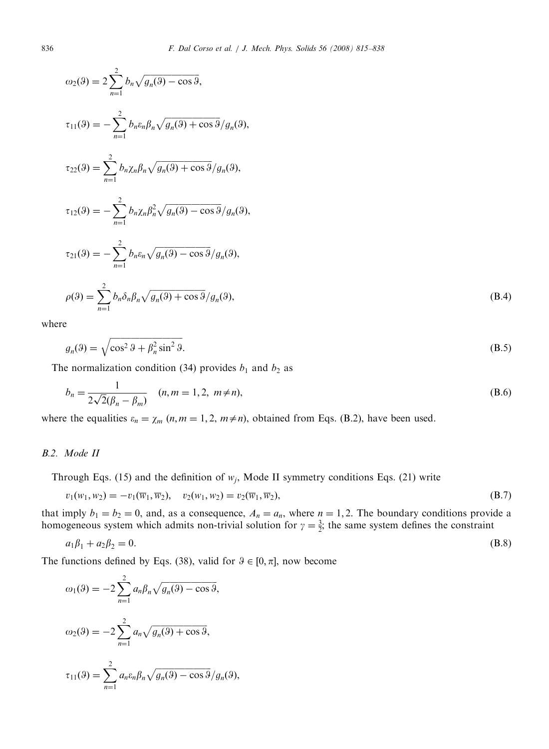$$
\omega_2(\theta) = 2 \sum_{n=1}^{2} b_n \sqrt{g_n(\theta) - \cos \theta},
$$
  
\n
$$
\tau_{11}(\theta) = -\sum_{n=1}^{2} b_n \varepsilon_n \beta_n \sqrt{g_n(\theta) + \cos \theta} / g_n(\theta),
$$
  
\n
$$
\tau_{22}(\theta) = \sum_{n=1}^{2} b_n \chi_n \beta_n \sqrt{g_n(\theta) + \cos \theta} / g_n(\theta),
$$
  
\n
$$
\tau_{12}(\theta) = -\sum_{n=1}^{2} b_n \chi_n \beta_n^2 \sqrt{g_n(\theta) - \cos \theta} / g_n(\theta),
$$
  
\n
$$
\tau_{21}(\theta) = -\sum_{n=1}^{2} b_n \varepsilon_n \sqrt{g_n(\theta) - \cos \theta} / g_n(\theta),
$$
  
\n
$$
\rho(\theta) = \sum_{n=1}^{2} b_n \delta_n \beta_n \sqrt{g_n(\theta) + \cos \theta} / g_n(\theta),
$$
  
\n
$$
\rho(\theta) = \sum_{n=1}^{2} b_n \delta_n \beta_n \sqrt{g_n(\theta) + \cos \theta} / g_n(\theta),
$$
  
\n(B.4)

where

$$
g_n(\theta) = \sqrt{\cos^2 \theta + \beta_n^2 \sin^2 \theta}.
$$
 (B.5)

The normalization condition (34) provides  $b_1$  and  $b_2$  as

$$
b_n = \frac{1}{2\sqrt{2}(\beta_n - \beta_m)} \quad (n, m = 1, 2, \ m \neq n),
$$
 (B.6)

where the equalities  $\varepsilon_n = \chi_m$   $(n, m = 1, 2, m \neq n)$ , obtained from Eqs. (B.2), have been used.

# B.2. Mode II

Through Eqs. (15) and the definition of  $w_i$ , Mode II symmetry conditions Eqs. (21) write

$$
v_1(w_1, w_2) = -v_1(\overline{w}_1, \overline{w}_2), \quad v_2(w_1, w_2) = v_2(\overline{w}_1, \overline{w}_2), \tag{B.7}
$$

that imply  $b_1 = b_2 = 0$ , and, as a consequence,  $A_n = a_n$ , where  $n = 1, 2$ . The boundary conditions provide a homogeneous system which admits non-trivial solution for  $\gamma = \frac{3}{2}$ ; the same system defines the constraint

$$
a_1\beta_1 + a_2\beta_2 = 0. \tag{B.8}
$$

The functions defined by Eqs. (38), valid for  $\theta \in [0, \pi]$ , now become

$$
\omega_1(3) = -2 \sum_{n=1}^2 a_n \beta_n \sqrt{g_n(3) - \cos \vartheta},
$$
  

$$
\omega_2(3) = -2 \sum_{n=1}^2 a_n \sqrt{g_n(3) + \cos \vartheta},
$$
  

$$
\tau_{11}(3) = \sum_{n=1}^2 a_n \varepsilon_n \beta_n \sqrt{g_n(3) - \cos \vartheta} / g_n(3),
$$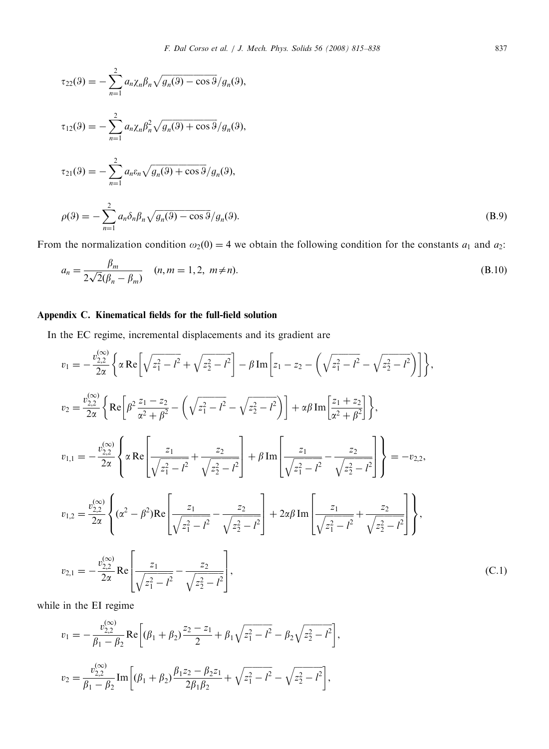$$
\tau_{22}(\theta) = -\sum_{n=1}^{2} a_n \chi_n \beta_n \sqrt{g_n(\theta) - \cos \theta} / g_n(\theta),
$$
  

$$
\tau_{12}(\theta) = -\sum_{n=1}^{2} a_n \chi_n \beta_n^2 \sqrt{g_n(\theta) + \cos \theta} / g_n(\theta),
$$
  

$$
\tau_{21}(\theta) = -\sum_{n=1}^{2} a_n \varepsilon_n \sqrt{g_n(\theta) + \cos \theta} / g_n(\theta),
$$
  

$$
\rho(\theta) = -\sum_{n=1}^{2} a_n \delta_n \beta_n \sqrt{g_n(\theta) - \cos \theta} / g_n(\theta).
$$
 (B.9)

From the normalization condition  $\omega_2(0) = 4$  we obtain the following condition for the constants  $a_1$  and  $a_2$ :

$$
a_n = \frac{\beta_m}{2\sqrt{2}(\beta_n - \beta_m)}
$$
 (*n*, *m* = 1, 2, *m* \ne *n*). (B.10)

# Appendix C. Kinematical fields for the full-field solution

In the EC regime, incremental displacements and its gradient are

$$
v_{1} = -\frac{v_{2,2}^{(\infty)}}{2\alpha} \left\{ \alpha \operatorname{Re} \left[ \sqrt{z_{1}^{2} - l^{2}} + \sqrt{z_{2}^{2} - l^{2}} \right] - \beta \operatorname{Im} \left[ z_{1} - z_{2} - \left( \sqrt{z_{1}^{2} - l^{2}} - \sqrt{z_{2}^{2} - l^{2}} \right) \right] \right\},
$$
  
\n
$$
v_{2} = \frac{v_{2,2}^{(\infty)}}{2\alpha} \left\{ \operatorname{Re} \left[ \beta^{2} \frac{z_{1} - z_{2}}{\alpha^{2} + \beta^{2}} - \left( \sqrt{z_{1}^{2} - l^{2}} - \sqrt{z_{2}^{2} - l^{2}} \right) \right] + \alpha \beta \operatorname{Im} \left[ \frac{z_{1} + z_{2}}{\alpha^{2} + \beta^{2}} \right] \right\},
$$
  
\n
$$
v_{1,1} = -\frac{v_{2,2}^{(\infty)}}{2\alpha} \left\{ \alpha \operatorname{Re} \left[ \frac{z_{1}}{\sqrt{z_{1}^{2} - l^{2}}} + \frac{z_{2}}{\sqrt{z_{2}^{2} - l^{2}}} \right] + \beta \operatorname{Im} \left[ \frac{z_{1}}{\sqrt{z_{1}^{2} - l^{2}}} - \frac{z_{2}}{\sqrt{z_{2}^{2} - l^{2}}} \right] \right\} = -v_{2,2},
$$
  
\n
$$
v_{1,2} = \frac{v_{2,2}^{(\infty)}}{2\alpha} \left\{ (\alpha^{2} - \beta^{2}) \operatorname{Re} \left[ \frac{z_{1}}{\sqrt{z_{1}^{2} - l^{2}}} - \frac{z_{2}}{\sqrt{z_{2}^{2} - l^{2}}} \right] + 2\alpha \beta \operatorname{Im} \left[ \frac{z_{1}}{\sqrt{z_{1}^{2} - l^{2}}} + \frac{z_{2}}{\sqrt{z_{2}^{2} - l^{2}}} \right] \right\},
$$
  
\n
$$
v_{2,1} = -\frac{v_{2,2}^{(\infty)}}{2\alpha} \operatorname{Re} \left[ \frac{z_{1}}{\sqrt{z_{1}^{2} - l^{2}}} - \frac{z_{2}}{\sqrt{z_{2}^{2} - l^{2}}} \right],
$$
  
\

while in the EI regime

$$
v_1 = -\frac{v_{2,2}^{(\infty)}}{\beta_1 - \beta_2} \operatorname{Re} \left[ (\beta_1 + \beta_2) \frac{z_2 - z_1}{2} + \beta_1 \sqrt{z_1^2 - l^2} - \beta_2 \sqrt{z_2^2 - l^2} \right],
$$
  

$$
v_2 = \frac{v_{2,2}^{(\infty)}}{\beta_1 - \beta_2} \operatorname{Im} \left[ (\beta_1 + \beta_2) \frac{\beta_1 z_2 - \beta_2 z_1}{2\beta_1 \beta_2} + \sqrt{z_1^2 - l^2} - \sqrt{z_2^2 - l^2} \right],
$$